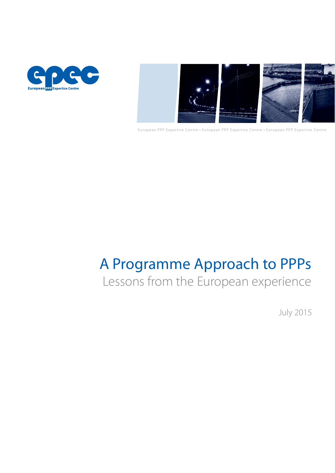



European PPP Expertise Centre • European PPP Expertise Centre • European PPP Expertise Centre

# A Programme Approach to PPPs

# Lessons from the European experience

July 2015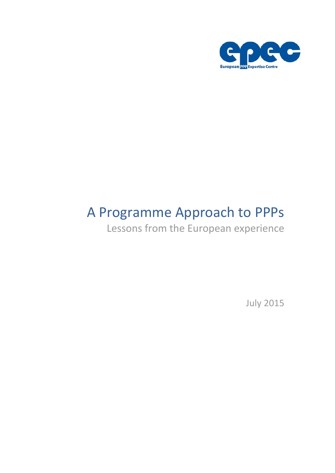

# A Programme Approach to PPPs

Lessons from the European experience

July 2015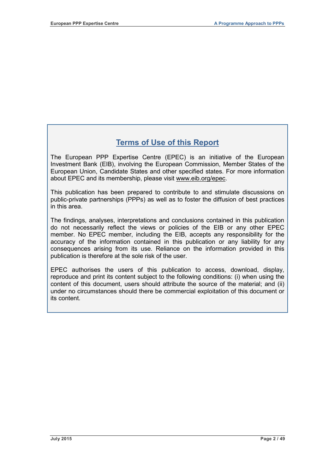# **Terms of Use of this Report**

The European PPP Expertise Centre (EPEC) is an initiative of the European Investment Bank (EIB), involving the European Commission, Member States of the European Union, Candidate States and other specified states. For more information about EPEC and its membership, please visit www.eib.org/epec.

This publication has been prepared to contribute to and stimulate discussions on public-private partnerships (PPPs) as well as to foster the diffusion of best practices in this area.

The findings, analyses, interpretations and conclusions contained in this publication do not necessarily reflect the views or policies of the EIB or any other EPEC member. No EPEC member, including the EIB, accepts any responsibility for the accuracy of the information contained in this publication or any liability for any consequences arising from its use. Reliance on the information provided in this publication is therefore at the sole risk of the user.

EPEC authorises the users of this publication to access, download, display, reproduce and print its content subject to the following conditions: (i) when using the content of this document, users should attribute the source of the material; and (ii) under no circumstances should there be commercial exploitation of this document or its content.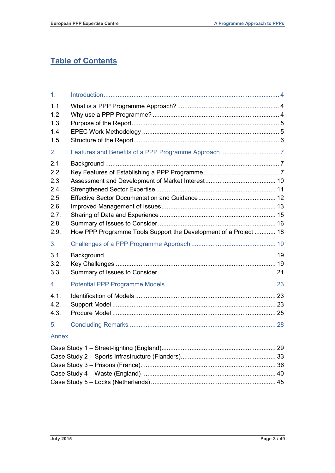# **Table of Contents**

| 1 <sub>1</sub> |                                                                  |  |
|----------------|------------------------------------------------------------------|--|
| 1.1.           |                                                                  |  |
| 1.2.           |                                                                  |  |
| 1.3.           |                                                                  |  |
| 1.4.           |                                                                  |  |
| 1.5.           |                                                                  |  |
| 2.             |                                                                  |  |
| 2.1.           |                                                                  |  |
| 2.2.           |                                                                  |  |
| 2.3.           |                                                                  |  |
| 2.4.           |                                                                  |  |
| 2.5.           |                                                                  |  |
| 2.6.           |                                                                  |  |
| 2.7.           |                                                                  |  |
| 2.8.           |                                                                  |  |
| 2.9.           | How PPP Programme Tools Support the Development of a Project  18 |  |
|                |                                                                  |  |
| 3.             |                                                                  |  |
| 3.1.           |                                                                  |  |
| 3.2.           |                                                                  |  |
| 3.3.           |                                                                  |  |
| 4.             |                                                                  |  |
| 4.1.           |                                                                  |  |
| 4.2.           |                                                                  |  |
| 4.3.           |                                                                  |  |
| 5.             |                                                                  |  |
| Annex          |                                                                  |  |
|                |                                                                  |  |
|                |                                                                  |  |
|                |                                                                  |  |
|                |                                                                  |  |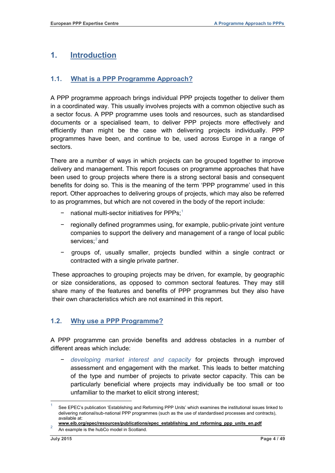# <span id="page-5-0"></span>**1. Introduction**

# <span id="page-5-1"></span>**1.1. What is a PPP Programme Approach?**

A PPP programme approach brings individual PPP projects together to deliver them in a coordinated way. This usually involves projects with a common objective such as a sector focus. A PPP programme uses tools and resources, such as standardised documents or a specialised team, to deliver PPP projects more effectively and efficiently than might be the case with delivering projects individually. PPP programmes have been, and continue to be, used across Europe in a range of sectors.

There are a number of ways in which projects can be grouped together to improve delivery and management. This report focuses on programme approaches that have been used to group projects where there is a strong sectoral basis and consequent benefits for doing so. This is the meaning of the term 'PPP programme' used in this report. Other approaches to delivering groups of projects, which may also be referred to as programmes, but which are not covered in the body of the report include:

- − national multi-sector initiatives for PPPs; [1](#page-5-3)
- − regionally defined programmes using, for example, public-private joint venture companies to support the delivery and management of a range of local public services;<sup>[2](#page-5-4)</sup> and
- groups of, usually smaller, projects bundled within a single contract or contracted with a single private partner.

These approaches to grouping projects may be driven, for example, by geographic or size considerations, as opposed to common sectoral features. They may still share many of the features and benefits of PPP programmes but they also have their own characteristics which are not examined in this report.

# <span id="page-5-2"></span>**1.2. Why use a PPP Programme?**

A PPP programme can provide benefits and address obstacles in a number of different areas which include:

− *developing market interest and capacity* for projects through improved assessment and engagement with the market. This leads to better matching of the type and number of projects to private sector capacity. This can be particularly beneficial where projects may individually be too small or too unfamiliar to the market to elicit strong interest;

<span id="page-5-3"></span><sup>1</sup> See EPEC's publication 'Establishing and Reforming PPP Units' which examines the institutional issues linked to delivering national/sub-national PPP programmes (such as the use of standardised processes and contracts), available at:

**[www.eib.org/epec/resources/publications/epec\\_establishing\\_and\\_reforming\\_ppp\\_units\\_en.pdf](http://www.eib.org/epec/resources/publications/epec_establishing_and_reforming_ppp_units_en.pdf)** An example is the hubCo model in Scotland.

<span id="page-5-4"></span>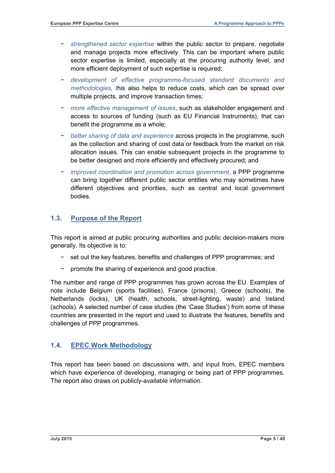- − *strengthened sector expertise* within the public sector to prepare, negotiate and manage projects more effectively. This can be important where public sector expertise is limited, especially at the procuring authority level, and more efficient deployment of such expertise is required;
- − *development of effective programme-focused standard documents and methodologies, t*his also helps to reduce costs, which can be spread over multiple projects, and improve transaction times;
- − *more effective management of issues*, such as stakeholder engagement and access to sources of funding (such as EU Financial Instruments), that can benefit the programme as a whole;
- − *better sharing of data and experience* across projects in the programme, such as the collection and sharing of cost data or feedback from the market on risk allocation issues. This can enable subsequent projects in the programme to be better designed and more efficiently and effectively procured; and
- − *improved coordination and promotion across government,* a PPP programme can bring together different public sector entities who may sometimes have different objectives and priorities, such as central and local government bodies.

# <span id="page-6-0"></span>**1.3. Purpose of the Report**

This report is aimed at public procuring authorities and public decision-makers more generally. Its objective is to:

- − set out the key features, benefits and challenges of PPP programmes; and
- promote the sharing of experience and good practice.

The number and range of PPP programmes has grown across the EU. Examples of note include Belgium (sports facilities), France (prisons), Greece (schools), the Netherlands (locks), UK (health, schools, street-lighting, waste) and Ireland (schools). A selected number of case studies (the 'Case Studies') from some of these countries are presented in the report and used to illustrate the features, benefits and challenges of PPP programmes.

# <span id="page-6-1"></span>**1.4. EPEC Work Methodology**

This report has been based on discussions with, and input from, EPEC members which have experience of developing, managing or being part of PPP programmes. The report also draws on publicly-available information.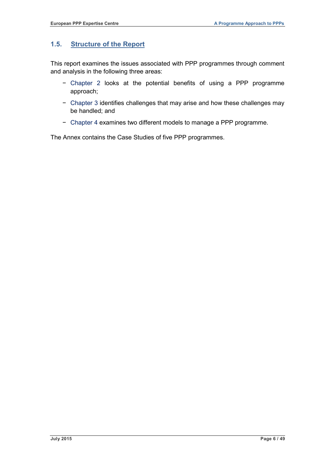# <span id="page-7-0"></span>**1.5. Structure of the Report**

This report examines the issues associated with PPP programmes through comment and analysis in the following three areas:

- − Chapter 2 looks at the potential benefits of using a PPP programme approach;
- − Chapter 3 identifies challenges that may arise and how these challenges may be handled; and
- − Chapter 4 examines two different models to manage a PPP programme.

The Annex contains the Case Studies of five PPP programmes.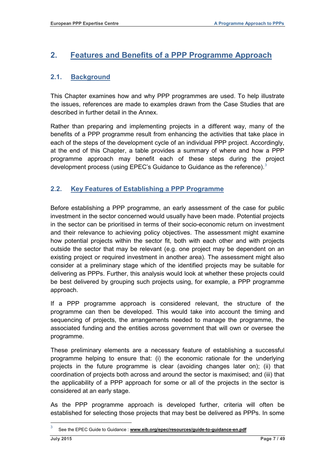# <span id="page-8-0"></span>**2. Features and Benefits of a PPP Programme Approach**

# <span id="page-8-1"></span>**2.1. Background**

This Chapter examines how and why PPP programmes are used. To help illustrate the issues, references are made to examples drawn from the Case Studies that are described in further detail in the Annex.

Rather than preparing and implementing projects in a different way, many of the benefits of a PPP programme result from enhancing the activities that take place in each of the steps of the development cycle of an individual PPP project. Accordingly, at the end of this Chapter, a table provides a summary of where and how a PPP programme approach may benefit each of these steps during the project development process (using EPEC's Guidance to Guidance as the reference).<sup>[3](#page-5-4)</sup>

# <span id="page-8-2"></span>**2.2. Key Features of Establishing a PPP Programme**

Before establishing a PPP programme, an early assessment of the case for public investment in the sector concerned would usually have been made. Potential projects in the sector can be prioritised in terms of their socio-economic return on investment and their relevance to achieving policy objectives. The assessment might examine how potential projects within the sector fit, both with each other and with projects outside the sector that may be relevant (e.g. one project may be dependent on an existing project or required investment in another area). The assessment might also consider at a preliminary stage which of the identified projects may be suitable for delivering as PPPs. Further, this analysis would look at whether these projects could be best delivered by grouping such projects using, for example, a PPP programme approach.

If a PPP programme approach is considered relevant, the structure of the programme can then be developed. This would take into account the timing and sequencing of projects, the arrangements needed to manage the programme, the associated funding and the entities across government that will own or oversee the programme.

These preliminary elements are a necessary feature of establishing a successful programme helping to ensure that: (i) the economic rationale for the underlying projects in the future programme is clear (avoiding changes later on); (ii) that coordination of projects both across and around the sector is maximised; and (iii) that the applicability of a PPP approach for some or all of the projects in the sector is considered at an early stage.

As the PPP programme approach is developed further, criteria will often be established for selecting those projects that may best be delivered as PPPs. In some

<span id="page-8-3"></span><sup>3</sup> See the EPEC Guide to Guidance : **www.eib.org/epec/resources/guide-to-guidance-en.pdf**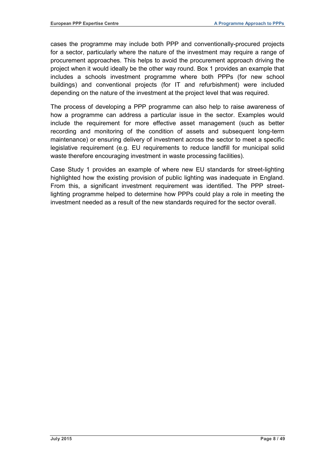cases the programme may include both PPP and conventionally-procured projects for a sector, particularly where the nature of the investment may require a range of procurement approaches. This helps to avoid the procurement approach driving the project when it would ideally be the other way round. Box 1 provides an example that includes a schools investment programme where both PPPs (for new school buildings) and conventional projects (for IT and refurbishment) were included depending on the nature of the investment at the project level that was required.

The process of developing a PPP programme can also help to raise awareness of how a programme can address a particular issue in the sector. Examples would include the requirement for more effective asset management (such as better recording and monitoring of the condition of assets and subsequent long-term maintenance) or ensuring delivery of investment across the sector to meet a specific legislative requirement (e.g. EU requirements to reduce landfill for municipal solid waste therefore encouraging investment in waste processing facilities).

Case Study 1 provides an example of where new EU standards for street-lighting highlighted how the existing provision of public lighting was inadequate in England. From this, a significant investment requirement was identified. The PPP streetlighting programme helped to determine how PPPs could play a role in meeting the investment needed as a result of the new standards required for the sector overall.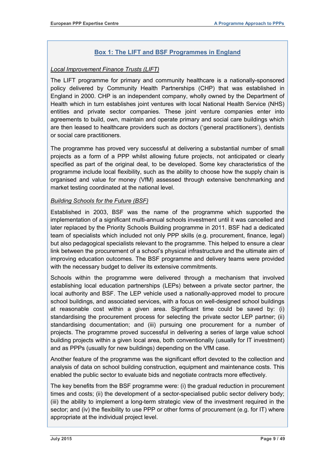## **Box 1: The LIFT and BSF Programmes in England**

#### *Local Improvement Finance Trusts (LIFT)*

The LIFT programme for primary and community healthcare is a nationally-sponsored policy delivered by Community Health Partnerships (CHP) that was established in England in 2000. CHP is an independent company, wholly owned by the Department of Health which in turn establishes joint ventures with local National Health Service (NHS) entities and private sector companies. These joint venture companies enter into agreements to build, own, maintain and operate primary and social care buildings which are then leased to healthcare providers such as doctors ('general practitioners'), dentists or social care practitioners.

The programme has proved very successful at delivering a substantial number of small projects as a form of a PPP whilst allowing future projects, not anticipated or clearly specified as part of the original deal, to be developed. Some key characteristics of the programme include local flexibility, such as the ability to choose how the supply chain is organised and value for money (VfM) assessed through extensive benchmarking and market testing coordinated at the national level.

#### *Building Schools for the Future (BSF)*

Established in 2003, BSF was the name of the programme which supported the implementation of a significant multi-annual schools investment until it was cancelled and later replaced by the Priority Schools Building programme in 2011. BSF had a dedicated team of specialists which included not only PPP skills (e.g. procurement, finance, legal) but also pedagogical specialists relevant to the programme. This helped to ensure a clear link between the procurement of a school's physical infrastructure and the ultimate aim of improving education outcomes. The BSF programme and delivery teams were provided with the necessary budget to deliver its extensive commitments.

Schools within the programme were delivered through a mechanism that involved establishing local education partnerships (LEPs) between a private sector partner, the local authority and BSF. The LEP vehicle used a nationally-approved model to procure school buildings, and associated services, with a focus on well-designed school buildings at reasonable cost within a given area. Significant time could be saved by: (i) standardising the procurement process for selecting the private sector LEP partner; (ii) standardising documentation; and (iii) pursuing one procurement for a number of projects. The programme proved successful in delivering a series of large value school building projects within a given local area, both conventionally (usually for IT investment) and as PPPs (usually for new buildings) depending on the VfM case.

Another feature of the programme was the significant effort devoted to the collection and analysis of data on school building construction, equipment and maintenance costs. This enabled the public sector to evaluate bids and negotiate contracts more effectively.

The key benefits from the BSF programme were: (i) the gradual reduction in procurement times and costs; (ii) the development of a sector-specialised public sector delivery body; (iii) the ability to implement a long-term strategic view of the investment required in the sector; and (iv) the flexibility to use PPP or other forms of procurement (e.g. for IT) where appropriate at the individual project level.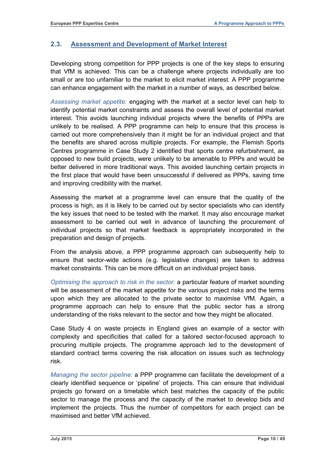# <span id="page-11-0"></span>**2.3. Assessment and Development of Market Interest**

Developing strong competition for PPP projects is one of the key steps to ensuring that VfM is achieved. This can be a challenge where projects individually are too small or are too unfamiliar to the market to elicit market interest. A PPP programme can enhance engagement with the market in a number of ways, as described below.

*Assessing market appetite:* engaging with the market at a sector level can help to identify potential market constraints and assess the overall level of potential market interest. This avoids launching individual projects where the benefits of PPPs are unlikely to be realised. A PPP programme can help to ensure that this process is carried out more comprehensively than it might be for an individual project and that the benefits are shared across multiple projects. For example, the Flemish Sports Centres programme in Case Study 2 identified that sports centre refurbishment, as opposed to new build projects, were unlikely to be amenable to PPPs and would be better delivered in more traditional ways. This avoided launching certain projects in the first place that would have been unsuccessful if delivered as PPPs, saving time and improving credibility with the market.

Assessing the market at a programme level can ensure that the quality of the process is high, as it is likely to be carried out by sector specialists who can identify the key issues that need to be tested with the market. It may also encourage market assessment to be carried out well in advance of launching the procurement of individual projects so that market feedback is appropriately incorporated in the preparation and design of projects.

From the analysis above, a PPP programme approach can subsequently help to ensure that sector-wide actions (e.g. legislative changes) are taken to address market constraints. This can be more difficult on an individual project basis.

*Optimising the approach to risk in the sector:* a particular feature of market sounding will be assessment of the market appetite for the various project risks and the terms upon which they are allocated to the private sector to maximise VfM. Again, a programme approach can help to ensure that the public sector has a strong understanding of the risks relevant to the sector and how they might be allocated.

Case Study 4 on waste projects in England gives an example of a sector with complexity and specificities that called for a tailored sector-focused approach to procuring multiple projects. The programme approach led to the development of standard contract terms covering the risk allocation on issues such as technology risk.

*Managing the sector pipeline:* a PPP programme can facilitate the development of a clearly identified sequence or 'pipeline' of projects. This can ensure that individual projects go forward on a timetable which best matches the capacity of the public sector to manage the process and the capacity of the market to develop bids and implement the projects. Thus the number of competitors for each project can be maximised and better VfM achieved.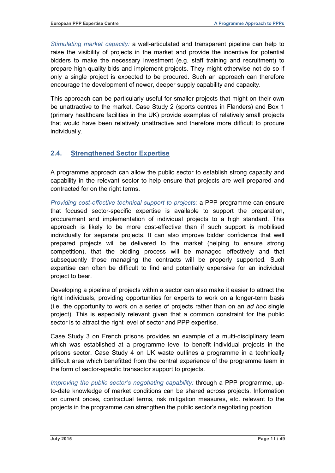*Stimulating market capacity:* a well-articulated and transparent pipeline can help to raise the visibility of projects in the market and provide the incentive for potential bidders to make the necessary investment (e.g. staff training and recruitment) to prepare high-quality bids and implement projects. They might otherwise not do so if only a single project is expected to be procured. Such an approach can therefore encourage the development of newer, deeper supply capability and capacity.

This approach can be particularly useful for smaller projects that might on their own be unattractive to the market. Case Study 2 (sports centres in Flanders) and Box 1 (primary healthcare facilities in the UK) provide examples of relatively small projects that would have been relatively unattractive and therefore more difficult to procure individually.

# <span id="page-12-0"></span>**2.4. Strengthened Sector Expertise**

A programme approach can allow the public sector to establish strong capacity and capability in the relevant sector to help ensure that projects are well prepared and contracted for on the right terms.

*Providing cost-effective technical support to projects:* a PPP programme can ensure that focused sector-specific expertise is available to support the preparation, procurement and implementation of individual projects to a high standard. This approach is likely to be more cost-effective than if such support is mobilised individually for separate projects. It can also improve bidder confidence that well prepared projects will be delivered to the market (helping to ensure strong competition), that the bidding process will be managed effectively and that subsequently those managing the contracts will be properly supported. Such expertise can often be difficult to find and potentially expensive for an individual project to bear.

Developing a pipeline of projects within a sector can also make it easier to attract the right individuals, providing opportunities for experts to work on a longer-term basis (i.e. the opportunity to work on a series of projects rather than on an *ad hoc* single project). This is especially relevant given that a common constraint for the public sector is to attract the right level of sector and PPP expertise.

Case Study 3 on French prisons provides an example of a multi-disciplinary team which was established at a programme level to benefit individual projects in the prisons sector. Case Study 4 on UK waste outlines a programme in a technically difficult area which benefitted from the central experience of the programme team in the form of sector-specific transactor support to projects.

*Improving the public sector's negotiating capability:* through a PPP programme, upto-date knowledge of market conditions can be shared across projects. Information on current prices, contractual terms, risk mitigation measures, etc. relevant to the projects in the programme can strengthen the public sector's negotiating position.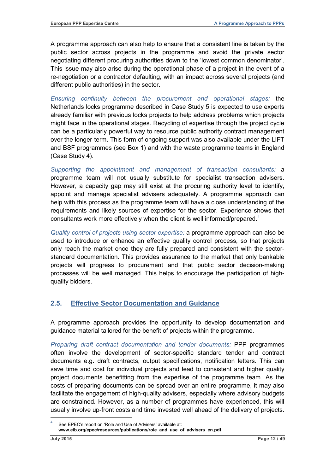A programme approach can also help to ensure that a consistent line is taken by the public sector across projects in the programme and avoid the private sector negotiating different procuring authorities down to the 'lowest common denominator'. This issue may also arise during the operational phase of a project in the event of a re-negotiation or a contractor defaulting, with an impact across several projects (and different public authorities) in the sector.

*Ensuring continuity between the procurement and operational stages:* the Netherlands locks programme described in Case Study 5 is expected to use experts already familiar with previous locks projects to help address problems which projects might face in the operational stages. Recycling of expertise through the project cycle can be a particularly powerful way to resource public authority contract management over the longer-term. This form of ongoing support was also available under the LIFT and BSF programmes (see Box 1) and with the waste programme teams in England (Case Study 4).

*Supporting the appointment and management of transaction consultants:* a programme team will not usually substitute for specialist transaction advisers. However, a capacity gap may still exist at the procuring authority level to identify, appoint and manage specialist advisers adequately. A programme approach can help with this process as the programme team will have a close understanding of the requirements and likely sources of expertise for the sector. Experience shows that consultants work more effectively when the client is well informed/prepared.<sup>[4](#page-8-3)</sup>

*Quality control of projects using sector expertise:* a programme approach can also be used to introduce or enhance an effective quality control process, so that projects only reach the market once they are fully prepared and consistent with the sectorstandard documentation. This provides assurance to the market that only bankable projects will progress to procurement and that public sector decision-making processes will be well managed. This helps to encourage the participation of highquality bidders.

# <span id="page-13-0"></span>**2.5. Effective Sector Documentation and Guidance**

A programme approach provides the opportunity to develop documentation and guidance material tailored for the benefit of projects within the programme.

*Preparing draft contract documentation and tender documents:* PPP programmes often involve the development of sector-specific standard tender and contract documents e.g. draft contracts, output specifications, notification letters. This can save time and cost for individual projects and lead to consistent and higher quality project documents benefitting from the expertise of the programme team. As the costs of preparing documents can be spread over an entire programme, it may also facilitate the engagement of high-quality advisers, especially where advisory budgets are constrained. However, as a number of programmes have experienced, this will usually involve up-front costs and time invested well ahead of the delivery of projects.

<span id="page-13-1"></span>See EPEC's report on 'Role and Use of Advisers' available at: **[www.eib.org/epec/resources/publications/role\\_and\\_use\\_of\\_advisers\\_en.pdf](http://www.eib.org/epec/resources/publications/role_and_use_of_advisers_en.pdf)**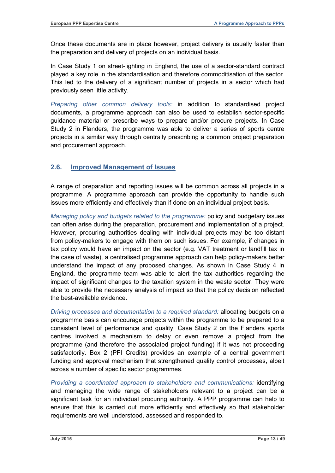Once these documents are in place however, project delivery is usually faster than the preparation and delivery of projects on an individual basis.

In Case Study 1 on street-lighting in England, the use of a sector-standard contract played a key role in the standardisation and therefore commoditisation of the sector. This led to the delivery of a significant number of projects in a sector which had previously seen little activity.

*Preparing other common delivery tools:* in addition to standardised project documents, a programme approach can also be used to establish sector-specific guidance material or prescribe ways to prepare and/or procure projects. In Case Study 2 in Flanders, the programme was able to deliver a series of sports centre projects in a similar way through centrally prescribing a common project preparation and procurement approach.

# <span id="page-14-0"></span>**2.6. Improved Management of Issues**

A range of preparation and reporting issues will be common across all projects in a programme. A programme approach can provide the opportunity to handle such issues more efficiently and effectively than if done on an individual project basis.

*Managing policy and budgets related to the programme:* policy and budgetary issues can often arise during the preparation, procurement and implementation of a project. However, procuring authorities dealing with individual projects may be too distant from policy-makers to engage with them on such issues. For example, if changes in tax policy would have an impact on the sector (e.g. VAT treatment or landfill tax in the case of waste), a centralised programme approach can help policy-makers better understand the impact of any proposed changes. As shown in Case Study 4 in England, the programme team was able to alert the tax authorities regarding the impact of significant changes to the taxation system in the waste sector. They were able to provide the necessary analysis of impact so that the policy decision reflected the best-available evidence.

*Driving processes and documentation to a required standard:* allocating budgets on a programme basis can encourage projects within the programme to be prepared to a consistent level of performance and quality. Case Study 2 on the Flanders sports centres involved a mechanism to delay or even remove a project from the programme (and therefore the associated project funding) if it was not proceeding satisfactorily. Box 2 (PFI Credits) provides an example of a central government funding and approval mechanism that strengthened quality control processes, albeit across a number of specific sector programmes.

*Providing a coordinated approach to stakeholders and communications:* identifying and managing the wide range of stakeholders relevant to a project can be a significant task for an individual procuring authority. A PPP programme can help to ensure that this is carried out more efficiently and effectively so that stakeholder requirements are well understood, assessed and responded to.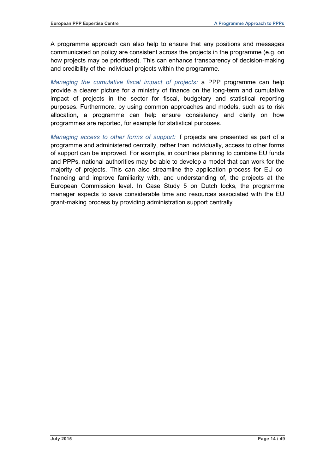A programme approach can also help to ensure that any positions and messages communicated on policy are consistent across the projects in the programme (e.g. on how projects may be prioritised). This can enhance transparency of decision-making and credibility of the individual projects within the programme.

*Managing the cumulative fiscal impact of projects:* a PPP programme can help provide a clearer picture for a ministry of finance on the long-term and cumulative impact of projects in the sector for fiscal, budgetary and statistical reporting purposes. Furthermore, by using common approaches and models, such as to risk allocation, a programme can help ensure consistency and clarity on how programmes are reported, for example for statistical purposes.

*Managing access to other forms of support:* if projects are presented as part of a programme and administered centrally, rather than individually, access to other forms of support can be improved. For example, in countries planning to combine EU funds and PPPs, national authorities may be able to develop a model that can work for the majority of projects. This can also streamline the application process for EU cofinancing and improve familiarity with, and understanding of, the projects at the European Commission level. In Case Study 5 on Dutch locks, the programme manager expects to save considerable time and resources associated with the EU grant-making process by providing administration support centrally.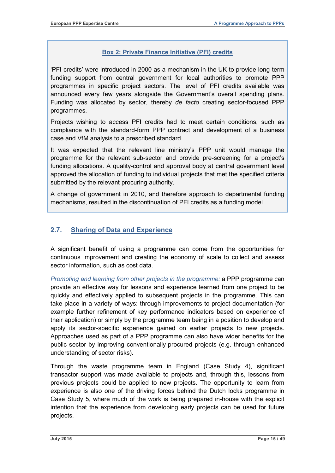## **Box 2: Private Finance Initiative (PFI) credits**

'PFI credits' were introduced in 2000 as a mechanism in the UK to provide long-term funding support from central government for local authorities to promote PPP programmes in specific project sectors. The level of PFI credits available was announced every few years alongside the Government's overall spending plans. Funding was allocated by sector, thereby *de facto* creating sector-focused PPP programmes.

Projects wishing to access PFI credits had to meet certain conditions, such as compliance with the standard-form PPP contract and development of a business case and VfM analysis to a prescribed standard.

It was expected that the relevant line ministry's PPP unit would manage the programme for the relevant sub-sector and provide pre-screening for a project's funding allocations. A quality-control and approval body at central government level approved the allocation of funding to individual projects that met the specified criteria submitted by the relevant procuring authority.

A change of government in 2010, and therefore approach to departmental funding mechanisms, resulted in the discontinuation of PFI credits as a funding model.

# <span id="page-16-0"></span>**2.7. Sharing of Data and Experience**

A significant benefit of using a programme can come from the opportunities for continuous improvement and creating the economy of scale to collect and assess sector information, such as cost data.

*Promoting and learning from other projects in the programme:* a PPP programme can provide an effective way for lessons and experience learned from one project to be quickly and effectively applied to subsequent projects in the programme. This can take place in a variety of ways: through improvements to project documentation (for example further refinement of key performance indicators based on experience of their application) or simply by the programme team being in a position to develop and apply its sector-specific experience gained on earlier projects to new projects. Approaches used as part of a PPP programme can also have wider benefits for the public sector by improving conventionally-procured projects (e.g. through enhanced understanding of sector risks).

Through the waste programme team in England (Case Study 4), significant transactor support was made available to projects and, through this, lessons from previous projects could be applied to new projects. The opportunity to learn from experience is also one of the driving forces behind the Dutch locks programme in Case Study 5, where much of the work is being prepared in-house with the explicit intention that the experience from developing early projects can be used for future projects.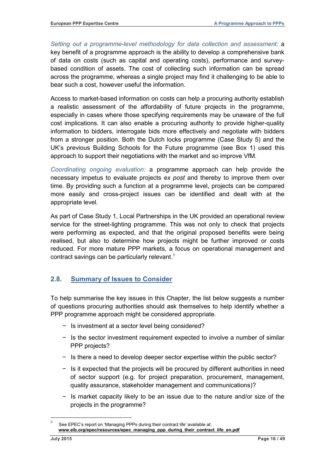*Setting out a programme-level methodology for data collection and assessment:* a key benefit of a programme approach is the ability to develop a comprehensive bank of data on costs (such as capital and operating costs), performance and surveybased condition of assets. The cost of collecting such information can be spread across the programme, whereas a single project may find it challenging to be able to bear such a cost, however useful the information.

Access to market-based information on costs can help a procuring authority establish a realistic assessment of the affordability of future projects in the programme, especially in cases where those specifying requirements may be unaware of the full cost implications. It can also enable a procuring authority to provide higher-quality information to bidders, interrogate bids more effectively and negotiate with bidders from a stronger position. Both the Dutch locks programme (Case Study 5) and the UK's previous Building Schools for the Future programme (see Box 1) used this approach to support their negotiations with the market and so improve VfM.

*Coordinating ongoing evaluation:* a programme approach can help provide the necessary impetus to evaluate projects *ex post* and thereby to improve them over time. By providing such a function at a programme level, projects can be compared more easily and cross-project issues can be identified and dealt with at the appropriate level.

As part of Case Study 1, Local Partnerships in the UK provided an operational review service for the street-lighting programme. This was not only to check that projects were performing as expected, and that the original proposed benefits were being realised, but also to determine how projects might be further improved or costs reduced. For more mature PPP markets, a focus on operational management and contract savings can be particularly relevant.<sup>[5](#page-13-1)</sup>

# <span id="page-17-0"></span>**2.8. Summary of Issues to Consider**

To help summarise the key issues in this Chapter, the list below suggests a number of questions procuring authorities should ask themselves to help identify whether a PPP programme approach might be considered appropriate.

- − Is investment at a sector level being considered?
- − Is the sector investment requirement expected to involve a number of similar PPP projects?
- − Is there a need to develop deeper sector expertise within the public sector?
- − Is it expected that the projects will be procured by different authorities in need of sector support (e.g. for project preparation, procurement, management, quality assurance, stakeholder management and communications)?
- − Is market capacity likely to be an issue due to the nature and/or size of the projects in the programme?

<span id="page-17-1"></span>5 See EPEC's report on 'Managing PPPs during their contract life' available at: **www.eib.org/epec/resources/epec\_managing\_ppp\_during\_their\_contract\_life\_en.pdf**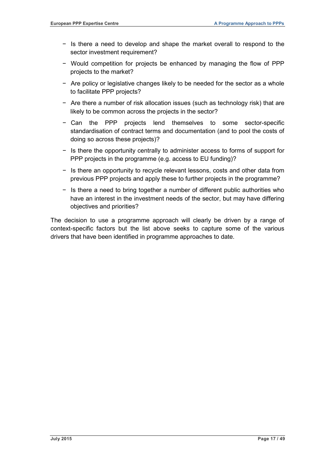- − Is there a need to develop and shape the market overall to respond to the sector investment requirement?
- − Would competition for projects be enhanced by managing the flow of PPP projects to the market?
- − Are policy or legislative changes likely to be needed for the sector as a whole to facilitate PPP projects?
- − Are there a number of risk allocation issues (such as technology risk) that are likely to be common across the projects in the sector?
- − Can the PPP projects lend themselves to some sector-specific standardisation of contract terms and documentation (and to pool the costs of doing so across these projects)?
- − Is there the opportunity centrally to administer access to forms of support for PPP projects in the programme (e.g. access to EU funding)?
- − Is there an opportunity to recycle relevant lessons, costs and other data from previous PPP projects and apply these to further projects in the programme?
- − Is there a need to bring together a number of different public authorities who have an interest in the investment needs of the sector, but may have differing objectives and priorities?

The decision to use a programme approach will clearly be driven by a range of context-specific factors but the list above seeks to capture some of the various drivers that have been identified in programme approaches to date.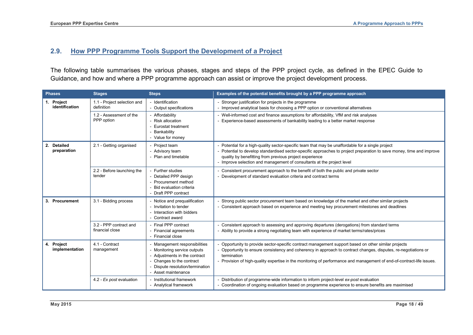# **2.9. How PPP Programme Tools Support the Development of a Project**

The following table summarises the various phases, stages and steps of the PPP project cycle, as defined in the EPEC Guide to Guidance, and how and where a PPP programme approach can assist or improve the project development process.

<span id="page-19-0"></span>

| <b>Phases</b>                        | <b>Stages</b>                             | <b>Steps</b>                                                                                                                                                               | Examples of the potential benefits brought by a PPP programme approach                                                                                                                                                                                                                                                                                        |
|--------------------------------------|-------------------------------------------|----------------------------------------------------------------------------------------------------------------------------------------------------------------------------|---------------------------------------------------------------------------------------------------------------------------------------------------------------------------------------------------------------------------------------------------------------------------------------------------------------------------------------------------------------|
| Project<br>1.<br>identification      | 1.1 - Project selection and<br>definition | - Identification<br>- Output specifications                                                                                                                                | - Stronger justification for projects in the programme<br>- Improved analytical basis for choosing a PPP option or conventional alternatives                                                                                                                                                                                                                  |
|                                      | 1.2 - Assessment of the<br>PPP option     | - Affordability<br><b>Risk allocation</b><br>Eurostat treatment<br>Bankability<br>- Value for money                                                                        | - Well-informed cost and finance assumptions for affordability, VfM and risk analyses<br>Experience-based assessments of bankability leading to a better market response                                                                                                                                                                                      |
| 2.<br><b>Detailed</b><br>preparation | 2.1 - Getting organised                   | Project team<br>- Advisory team<br>Plan and timetable                                                                                                                      | Potential for a high-quality sector-specific team that may be unaffordable for a single project<br>Potential to develop standardised sector-specific approaches to project preparation to save money, time and improve<br>quality by benefitting from previous project experience<br>- Improve selection and management of consultants at the project level   |
|                                      | 2.2 - Before launching the<br>tender      | Further studies<br>- Detailed PPP design<br>Procurement method<br>Bid evaluation criteria<br>Draft PPP contract                                                            | - Consistent procurement approach to the benefit of both the public and private sector<br>- Development of standard evaluation criteria and contract terms                                                                                                                                                                                                    |
| 3. Procurement                       | 3.1 - Bidding process                     | - Notice and prequalification<br>- Invitation to tender<br>- Interaction with bidders<br>Contract award                                                                    | Strong public sector procurement team based on knowledge of the market and other similar projects<br>- Consistent approach based on experience and meeting key procurement milestones and deadlines                                                                                                                                                           |
|                                      | 3.2 - PPP contract and<br>financial close | - Final PPP contract<br>- Financial agreements<br>- Financial close                                                                                                        | Consistent approach to assessing and approving departures (derogations) from standard terms<br>- Ability to provide a strong negotiating team with experience of market terms/rates/prices                                                                                                                                                                    |
| 4. Project<br>implementation         | 4.1 - Contract<br>management              | Management responsibilities<br>Monitoring service outputs<br>Adjustments in the contract<br>Changes to the contract<br>Dispute resolution/termination<br>Asset maintenance | Opportunity to provide sector-specific contract management support based on other similar projects<br>- Opportunity to ensure consistency and coherency in approach to contract changes, disputes, re-negotiations or<br>termination<br>- Provision of high-quality expertise in the monitoring of performance and management of end-of-contract-life issues. |
|                                      | 4.2 - Ex post evaluation                  | Institutional framework<br>- Analytical framework                                                                                                                          | Distribution of programme-wide information to inform project-level ex-post evaluation<br>- Coordination of ongoing evaluation based on programme experience to ensure benefits are maximised                                                                                                                                                                  |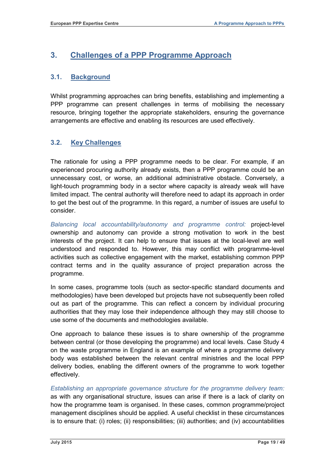# <span id="page-20-0"></span>**3. Challenges of a PPP Programme Approach**

# <span id="page-20-1"></span>**3.1. Background**

Whilst programming approaches can bring benefits, establishing and implementing a PPP programme can present challenges in terms of mobilising the necessary resource, bringing together the appropriate stakeholders, ensuring the governance arrangements are effective and enabling its resources are used effectively.

# <span id="page-20-2"></span>**3.2. Key Challenges**

The rationale for using a PPP programme needs to be clear. For example, if an experienced procuring authority already exists, then a PPP programme could be an unnecessary cost, or worse, an additional administrative obstacle. Conversely, a light-touch programming body in a sector where capacity is already weak will have limited impact. The central authority will therefore need to adapt its approach in order to get the best out of the programme. In this regard, a number of issues are useful to consider.

*Balancing local accountability/autonomy and programme control:* project-level ownership and autonomy can provide a strong motivation to work in the best interests of the project. It can help to ensure that issues at the local-level are well understood and responded to. However, this may conflict with programme-level activities such as collective engagement with the market, establishing common PPP contract terms and in the quality assurance of project preparation across the programme.

In some cases, programme tools (such as sector-specific standard documents and methodologies) have been developed but projects have not subsequently been rolled out as part of the programme. This can reflect a concern by individual procuring authorities that they may lose their independence although they may still choose to use some of the documents and methodologies available.

One approach to balance these issues is to share ownership of the programme between central (or those developing the programme) and local levels. Case Study 4 on the waste programme in England is an example of where a programme delivery body was established between the relevant central ministries and the local PPP delivery bodies, enabling the different owners of the programme to work together effectively.

*Establishing an appropriate governance structure for the programme delivery team:* as with any organisational structure, issues can arise if there is a lack of clarity on how the programme team is organised. In these cases, common programme/project management disciplines should be applied. A useful checklist in these circumstances is to ensure that: (i) roles; (ii) responsibilities; (iii) authorities; and (iv) accountabilities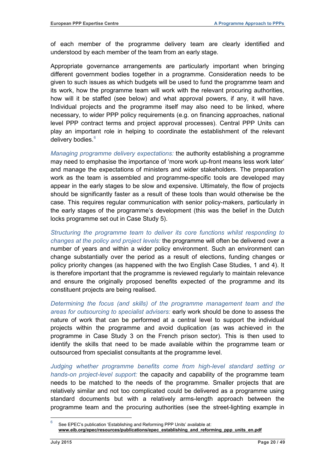of each member of the programme delivery team are clearly identified and understood by each member of the team from an early stage.

Appropriate governance arrangements are particularly important when bringing different government bodies together in a programme. Consideration needs to be given to such issues as which budgets will be used to fund the programme team and its work, how the programme team will work with the relevant procuring authorities, how will it be staffed (see below) and what approval powers, if any, it will have. Individual projects and the programme itself may also need to be linked, where necessary, to wider PPP policy requirements (e.g. on financing approaches, national level PPP contract terms and project approval processes). Central PPP Units can play an important role in helping to coordinate the establishment of the relevant delivery bodies.<sup>[6](#page-17-1)</sup>

*Managing programme delivery expectations:* the authority establishing a programme may need to emphasise the importance of 'more work up-front means less work later' and manage the expectations of ministers and wider stakeholders. The preparation work as the team is assembled and programme-specific tools are developed may appear in the early stages to be slow and expensive. Ultimately, the flow of projects should be significantly faster as a result of these tools than would otherwise be the case. This requires regular communication with senior policy-makers, particularly in the early stages of the programme's development (this was the belief in the Dutch locks programme set out in Case Study 5).

*Structuring the programme team to deliver its core functions whilst responding to changes at the policy and project levels:* the programme will often be delivered over a number of years and within a wider policy environment. Such an environment can change substantially over the period as a result of elections, funding changes or policy priority changes (as happened with the two English Case Studies, 1 and 4). It is therefore important that the programme is reviewed regularly to maintain relevance and ensure the originally proposed benefits expected of the programme and its constituent projects are being realised.

*Determining the focus (and skills) of the programme management team and the areas for outsourcing to specialist advisers:* early work should be done to assess the nature of work that can be performed at a central level to support the individual projects within the programme and avoid duplication (as was achieved in the programme in Case Study 3 on the French prison sector). This is then used to identify the skills that need to be made available within the programme team or outsourced from specialist consultants at the programme level.

*Judging whether programme benefits come from high-level standard setting or hands-on project-level support:* the capacity and capability of the programme team needs to be matched to the needs of the programme. Smaller projects that are relatively similar and not too complicated could be delivered as a programme using standard documents but with a relatively arms-length approach between the programme team and the procuring authorities (see the street-lighting example in

<span id="page-21-0"></span>See EPEC's publication 'Establishing and Reforming PPP Units' available at: www.eib.org/epec/resources/publications/epec\_establishing\_and\_reforming\_ppp\_units\_en.pdf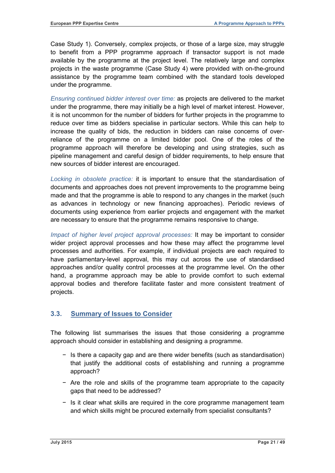Case Study 1). Conversely, complex projects, or those of a large size, may struggle to benefit from a PPP programme approach if transactor support is not made available by the programme at the project level. The relatively large and complex projects in the waste programme (Case Study 4) were provided with on-the-ground assistance by the programme team combined with the standard tools developed under the programme.

*Ensuring continued bidder interest over time:* as projects are delivered to the market under the programme, there may initially be a high level of market interest. However, it is not uncommon for the number of bidders for further projects in the programme to reduce over time as bidders specialise in particular sectors. While this can help to increase the quality of bids, the reduction in bidders can raise concerns of overreliance of the programme on a limited bidder pool. One of the roles of the programme approach will therefore be developing and using strategies, such as pipeline management and careful design of bidder requirements, to help ensure that new sources of bidder interest are encouraged.

*Locking in obsolete practice:* it is important to ensure that the standardisation of documents and approaches does not prevent improvements to the programme being made and that the programme is able to respond to any changes in the market (such as advances in technology or new financing approaches). Periodic reviews of documents using experience from earlier projects and engagement with the market are necessary to ensure that the programme remains responsive to change.

*Impact of higher level project approval processes:* It may be important to consider wider project approval processes and how these may affect the programme level processes and authorities. For example, if individual projects are each required to have parliamentary-level approval, this may cut across the use of standardised approaches and/or quality control processes at the programme level. On the other hand, a programme approach may be able to provide comfort to such external approval bodies and therefore facilitate faster and more consistent treatment of projects.

# <span id="page-22-0"></span>**3.3. Summary of Issues to Consider**

The following list summarises the issues that those considering a programme approach should consider in establishing and designing a programme.

- − Is there a capacity gap and are there wider benefits (such as standardisation) that justify the additional costs of establishing and running a programme approach?
- − Are the role and skills of the programme team appropriate to the capacity gaps that need to be addressed?
- − Is it clear what skills are required in the core programme management team and which skills might be procured externally from specialist consultants?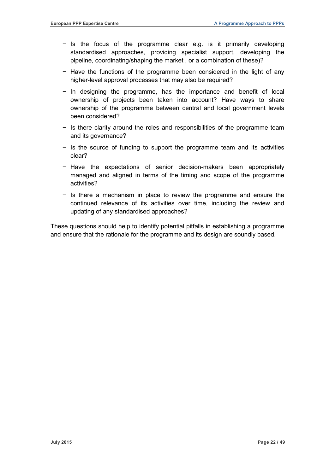- − Is the focus of the programme clear e.g. is it primarily developing standardised approaches, providing specialist support, developing the pipeline, coordinating/shaping the market , or a combination of these)?
- − Have the functions of the programme been considered in the light of any higher-level approval processes that may also be required?
- − In designing the programme, has the importance and benefit of local ownership of projects been taken into account? Have ways to share ownership of the programme between central and local government levels been considered?
- − Is there clarity around the roles and responsibilities of the programme team and its governance?
- − Is the source of funding to support the programme team and its activities clear?
- − Have the expectations of senior decision-makers been appropriately managed and aligned in terms of the timing and scope of the programme activities?
- − Is there a mechanism in place to review the programme and ensure the continued relevance of its activities over time, including the review and updating of any standardised approaches?

These questions should help to identify potential pitfalls in establishing a programme and ensure that the rationale for the programme and its design are soundly based.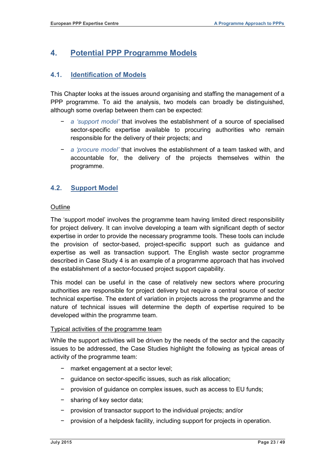# <span id="page-24-0"></span>**4. Potential PPP Programme Models**

# <span id="page-24-1"></span>**4.1. Identification of Models**

This Chapter looks at the issues around organising and staffing the management of a PPP programme. To aid the analysis, two models can broadly be distinguished, although some overlap between them can be expected:

- − *a 'support model'* that involves the establishment of a source of specialised sector-specific expertise available to procuring authorities who remain responsible for the delivery of their projects; and
- − *a 'procure model'* that involves the establishment of a team tasked with, and accountable for, the delivery of the projects themselves within the programme.

# <span id="page-24-2"></span>**4.2. Support Model**

#### **Outline**

The 'support model' involves the programme team having limited direct responsibility for project delivery. It can involve developing a team with significant depth of sector expertise in order to provide the necessary programme tools. These tools can include the provision of sector-based, project-specific support such as guidance and expertise as well as transaction support. The English waste sector programme described in Case Study 4 is an example of a programme approach that has involved the establishment of a sector-focused project support capability.

This model can be useful in the case of relatively new sectors where procuring authorities are responsible for project delivery but require a central source of sector technical expertise. The extent of variation in projects across the programme and the nature of technical issues will determine the depth of expertise required to be developed within the programme team.

#### Typical activities of the programme team

While the support activities will be driven by the needs of the sector and the capacity issues to be addressed, the Case Studies highlight the following as typical areas of activity of the programme team:

- − market engagement at a sector level;
- − guidance on sector-specific issues, such as risk allocation;
- − provision of guidance on complex issues, such as access to EU funds;
- − sharing of key sector data;
- − provision of transactor support to the individual projects; and/or
- provision of a helpdesk facility, including support for projects in operation.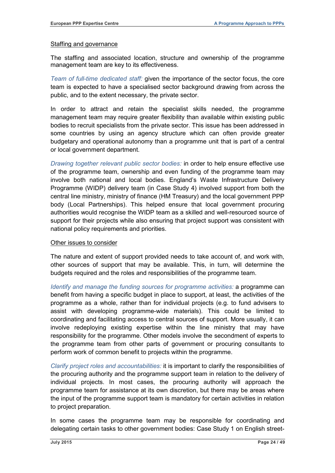#### Staffing and governance

The staffing and associated location, structure and ownership of the programme management team are key to its effectiveness.

*Team of full-time dedicated staff:* given the importance of the sector focus, the core team is expected to have a specialised sector background drawing from across the public, and to the extent necessary, the private sector.

In order to attract and retain the specialist skills needed, the programme management team may require greater flexibility than available within existing public bodies to recruit specialists from the private sector. This issue has been addressed in some countries by using an agency structure which can often provide greater budgetary and operational autonomy than a programme unit that is part of a central or local government department.

*Drawing together relevant public sector bodies:* in order to help ensure effective use of the programme team, ownership and even funding of the programme team may involve both national and local bodies. England's Waste Infrastructure Delivery Programme (WIDP) delivery team (in Case Study 4) involved support from both the central line ministry, ministry of finance (HM Treasury) and the local government PPP body (Local Partnerships). This helped ensure that local government procuring authorities would recognise the WIDP team as a skilled and well-resourced source of support for their projects while also ensuring that project support was consistent with national policy requirements and priorities.

#### Other issues to consider

The nature and extent of support provided needs to take account of, and work with, other sources of support that may be available. This, in turn, will determine the budgets required and the roles and responsibilities of the programme team.

*Identify and manage the funding sources for programme activities:* a programme can benefit from having a specific budget in place to support, at least, the activities of the programme as a whole, rather than for individual projects (e.g. to fund advisers to assist with developing programme-wide materials). This could be limited to coordinating and facilitating access to central sources of support. More usually, it can involve redeploying existing expertise within the line ministry that may have responsibility for the programme. Other models involve the secondment of experts to the programme team from other parts of government or procuring consultants to perform work of common benefit to projects within the programme.

*Clarify project roles and accountabilities:* it is important to clarify the responsibilities of the procuring authority and the programme support team in relation to the delivery of individual projects. In most cases, the procuring authority will approach the programme team for assistance at its own discretion, but there may be areas where the input of the programme support team is mandatory for certain activities in relation to project preparation.

In some cases the programme team may be responsible for coordinating and delegating certain tasks to other government bodies: Case Study 1 on English street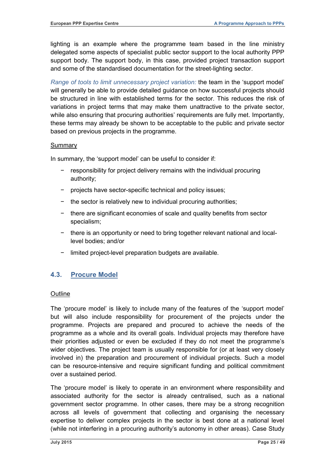lighting is an example where the programme team based in the line ministry delegated some aspects of specialist public sector support to the local authority PPP support body. The support body, in this case, provided project transaction support and some of the standardised documentation for the street-lighting sector.

*Range of tools to limit unnecessary project variation:* the team in the 'support model' will generally be able to provide detailed guidance on how successful projects should be structured in line with established terms for the sector. This reduces the risk of variations in project terms that may make them unattractive to the private sector, while also ensuring that procuring authorities' requirements are fully met. Importantly, these terms may already be shown to be acceptable to the public and private sector based on previous projects in the programme.

#### Summary

In summary, the 'support model' can be useful to consider if:

- responsibility for project delivery remains with the individual procuring authority;
- − projects have sector-specific technical and policy issues;
- − the sector is relatively new to individual procuring authorities;
- − there are significant economies of scale and quality benefits from sector specialism;
- − there is an opportunity or need to bring together relevant national and locallevel bodies; and/or
- − limited project-level preparation budgets are available.

# <span id="page-26-0"></span>**4.3. Procure Model**

#### **Outline**

The 'procure model' is likely to include many of the features of the 'support model' but will also include responsibility for procurement of the projects under the programme. Projects are prepared and procured to achieve the needs of the programme as a whole and its overall goals. Individual projects may therefore have their priorities adjusted or even be excluded if they do not meet the programme's wider objectives. The project team is usually responsible for (or at least very closely involved in) the preparation and procurement of individual projects. Such a model can be resource-intensive and require significant funding and political commitment over a sustained period.

The 'procure model' is likely to operate in an environment where responsibility and associated authority for the sector is already centralised, such as a national government sector programme. In other cases, there may be a strong recognition across all levels of government that collecting and organising the necessary expertise to deliver complex projects in the sector is best done at a national level (while not interfering in a procuring authority's autonomy in other areas). Case Study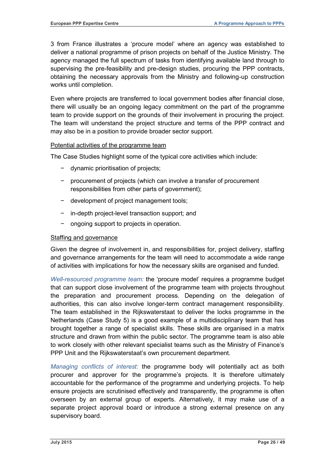3 from France illustrates a 'procure model' where an agency was established to deliver a national programme of prison projects on behalf of the Justice Ministry. The agency managed the full spectrum of tasks from identifying available land through to supervising the pre-feasibility and pre-design studies, procuring the PPP contracts, obtaining the necessary approvals from the Ministry and following-up construction works until completion.

Even where projects are transferred to local government bodies after financial close, there will usually be an ongoing legacy commitment on the part of the programme team to provide support on the grounds of their involvement in procuring the project. The team will understand the project structure and terms of the PPP contract and may also be in a position to provide broader sector support.

#### Potential activities of the programme team

The Case Studies highlight some of the typical core activities which include:

- − dynamic prioritisation of projects;
- − procurement of projects (which can involve a transfer of procurement responsibilities from other parts of government);
- − development of project management tools;
- − in-depth project-level transaction support; and
- − ongoing support to projects in operation.

#### Staffing and governance

Given the degree of involvement in, and responsibilities for, project delivery, staffing and governance arrangements for the team will need to accommodate a wide range of activities with implications for how the necessary skills are organised and funded.

*Well-resourced programme team:* the 'procure model' requires a programme budget that can support close involvement of the programme team with projects throughout the preparation and procurement process. Depending on the delegation of authorities, this can also involve longer-term contract management responsibility. The team established in the Rijkswaterstaat to deliver the locks programme in the Netherlands (Case Study 5) is a good example of a multidisciplinary team that has brought together a range of specialist skills. These skills are organised in a matrix structure and drawn from within the public sector. The programme team is also able to work closely with other relevant specialist teams such as the Ministry of Finance's PPP Unit and the Rijkswaterstaat's own procurement department.

*Managing conflicts of interest:* the programme body will potentially act as both procurer and approver for the programme's projects. It is therefore ultimately accountable for the performance of the programme and underlying projects. To help ensure projects are scrutinised effectively and transparently, the programme is often overseen by an external group of experts. Alternatively, it may make use of a separate project approval board or introduce a strong external presence on any supervisory board.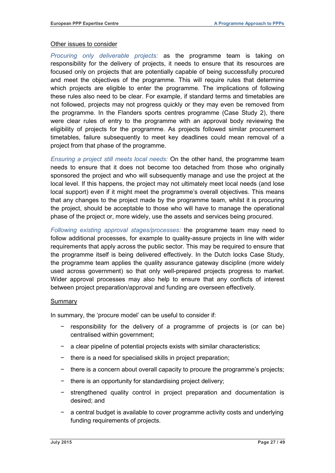#### Other issues to consider

*Procuring only deliverable projects:* as the programme team is taking on responsibility for the delivery of projects, it needs to ensure that its resources are focused only on projects that are potentially capable of being successfully procured and meet the objectives of the programme. This will require rules that determine which projects are eligible to enter the programme. The implications of following these rules also need to be clear. For example, if standard terms and timetables are not followed, projects may not progress quickly or they may even be removed from the programme. In the Flanders sports centres programme (Case Study 2), there were clear rules of entry to the programme with an approval body reviewing the eligibility of projects for the programme. As projects followed similar procurement timetables, failure subsequently to meet key deadlines could mean removal of a project from that phase of the programme.

*Ensuring a project still meets local needs:* On the other hand, the programme team needs to ensure that it does not become too detached from those who originally sponsored the project and who will subsequently manage and use the project at the local level. If this happens, the project may not ultimately meet local needs (and lose local support) even if it might meet the programme's overall objectives. This means that any changes to the project made by the programme team, whilst it is procuring the project, should be acceptable to those who will have to manage the operational phase of the project or, more widely, use the assets and services being procured.

*Following existing approval stages/processes:* the programme team may need to follow additional processes, for example to quality-assure projects in line with wider requirements that apply across the public sector. This may be required to ensure that the programme itself is being delivered effectively. In the Dutch locks Case Study, the programme team applies the quality assurance gateway discipline (more widely used across government) so that only well-prepared projects progress to market. Wider approval processes may also help to ensure that any conflicts of interest between project preparation/approval and funding are overseen effectively.

#### Summary

In summary, the 'procure model' can be useful to consider if:

- − responsibility for the delivery of a programme of projects is (or can be) centralised within government;
- − a clear pipeline of potential projects exists with similar characteristics;
- − there is a need for specialised skills in project preparation;
- − there is a concern about overall capacity to procure the programme's projects;
- − there is an opportunity for standardising project delivery;
- strengthened quality control in project preparation and documentation is desired; and
- − a central budget is available to cover programme activity costs and underlying funding requirements of projects.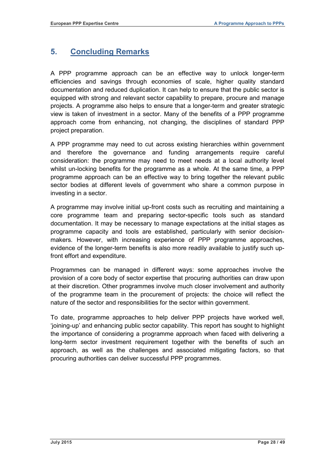# <span id="page-29-0"></span>**5. Concluding Remarks**

A PPP programme approach can be an effective way to unlock longer-term efficiencies and savings through economies of scale, higher quality standard documentation and reduced duplication. It can help to ensure that the public sector is equipped with strong and relevant sector capability to prepare, procure and manage projects. A programme also helps to ensure that a longer-term and greater strategic view is taken of investment in a sector. Many of the benefits of a PPP programme approach come from enhancing, not changing, the disciplines of standard PPP project preparation.

A PPP programme may need to cut across existing hierarchies within government and therefore the governance and funding arrangements require careful consideration: the programme may need to meet needs at a local authority level whilst un-locking benefits for the programme as a whole. At the same time, a PPP programme approach can be an effective way to bring together the relevant public sector bodies at different levels of government who share a common purpose in investing in a sector.

A programme may involve initial up-front costs such as recruiting and maintaining a core programme team and preparing sector-specific tools such as standard documentation. It may be necessary to manage expectations at the initial stages as programme capacity and tools are established, particularly with senior decisionmakers. However, with increasing experience of PPP programme approaches, evidence of the longer-term benefits is also more readily available to justify such upfront effort and expenditure.

Programmes can be managed in different ways: some approaches involve the provision of a core body of sector expertise that procuring authorities can draw upon at their discretion. Other programmes involve much closer involvement and authority of the programme team in the procurement of projects: the choice will reflect the nature of the sector and responsibilities for the sector within government.

To date, programme approaches to help deliver PPP projects have worked well, 'joining-up' and enhancing public sector capability. This report has sought to highlight the importance of considering a programme approach when faced with delivering a long-term sector investment requirement together with the benefits of such an approach, as well as the challenges and associated mitigating factors, so that procuring authorities can deliver successful PPP programmes.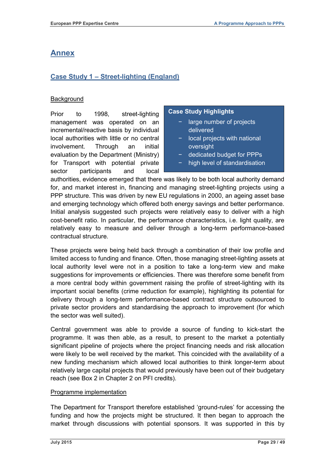# <span id="page-30-0"></span>**Annex**

# <span id="page-30-1"></span>**Case Study 1 – Street-lighting (England)**

### **Background**

Prior to 1998, street-lighting management was operated on an incremental/reactive basis by individual local authorities with little or no central involvement. Through an initial evaluation by the Department (Ministry) for Transport with potential private sector participants and local

#### **Case Study Highlights**

- − large number of projects delivered
- − local projects with national oversight
- − dedicated budget for PPPs
- − high level of standardisation

authorities, evidence emerged that there was likely to be both local authority demand for, and market interest in, financing and managing street-lighting projects using a PPP structure. This was driven by new EU regulations in 2000, an ageing asset base and emerging technology which offered both energy savings and better performance. Initial analysis suggested such projects were relatively easy to deliver with a high cost-benefit ratio. In particular, the performance characteristics, i.e. light quality, are relatively easy to measure and deliver through a long-term performance-based contractual structure.

These projects were being held back through a combination of their low profile and limited access to funding and finance. Often, those managing street-lighting assets at local authority level were not in a position to take a long-term view and make suggestions for improvements or efficiencies. There was therefore some benefit from a more central body within government raising the profile of street-lighting with its important social benefits (crime reduction for example), highlighting its potential for delivery through a long-term performance-based contract structure outsourced to private sector providers and standardising the approach to improvement (for which the sector was well suited).

Central government was able to provide a source of funding to kick-start the programme. It was then able, as a result, to present to the market a potentially significant pipeline of projects where the project financing needs and risk allocation were likely to be well received by the market. This coincided with the availability of a new funding mechanism which allowed local authorities to think longer-term about relatively large capital projects that would previously have been out of their budgetary reach (see Box 2 in Chapter 2 on PFI credits).

#### Programme implementation

The Department for Transport therefore established 'ground-rules' for accessing the funding and how the projects might be structured. It then began to approach the market through discussions with potential sponsors. It was supported in this by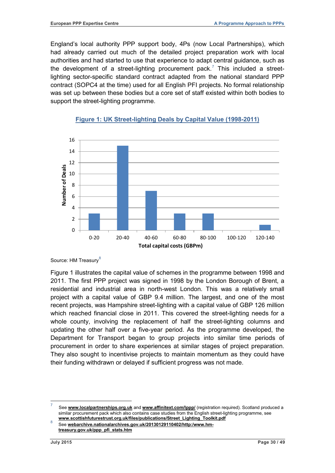England's local authority PPP support body, 4Ps (now Local Partnerships), which had already carried out much of the detailed project preparation work with local authorities and had started to use that experience to adapt central guidance, such as the development of a street-lighting procurement pack.<sup>[7](#page-21-0)</sup> This included a streetlighting sector-specific standard contract adapted from the national standard PPP contract (SOPC4 at the time) used for all English PFI projects. No formal relationship was set up between these bodies but a core set of staff existed within both bodies to support the street-lighting programme.



#### **Figure 1: UK Street-lighting Deals by Capital Value (1998-2011)**

Source: HM Treasury<sup>[8](#page-31-0)</sup>

Figure 1 illustrates the capital value of schemes in the programme between 1998 and 2011. The first PPP project was signed in 1998 by the London Borough of Brent, a residential and industrial area in north-west London. This was a relatively small project with a capital value of GBP 9.4 million. The largest, and one of the most recent projects, was Hampshire street-lighting with a capital value of GBP 126 million which reached financial close in 2011. This covered the street-lighting needs for a whole county, involving the replacement of half the street-lighting columns and updating the other half over a five-year period. As the programme developed, the Department for Transport began to group projects into similar time periods of procurement in order to share experiences at similar stages of project preparation. They also sought to incentivise projects to maintain momentum as they could have their funding withdrawn or delayed if sufficient progress was not made.

7 See **[www.localpartnerships.org.uk](http://www.localpartnerships.org.uk/)** and **[www.affinitext.com/lppp/](http://www.affinitext.com/lppp/)** (registration required). Scotland produced a similar procurement pack which also contains case studies from the English street-lighting programme, see<br>www.scottishfuturestrust.org.uk/files/publications/Street\_Lighting\_Toolkit.pdf

<span id="page-31-0"></span>See [webarchive.nationalarchives.gov.uk/20130129110402/http:/www.hm](http://webarchive.nationalarchives.gov.uk/20130129110402/http:/www.hm-treasury.gov.uk/ppp_pfi_stats.htm)**[treasury.gov.uk/ppp\\_pfi\\_stats.htm](http://webarchive.nationalarchives.gov.uk/20130129110402/http:/www.hm-treasury.gov.uk/ppp_pfi_stats.htm)**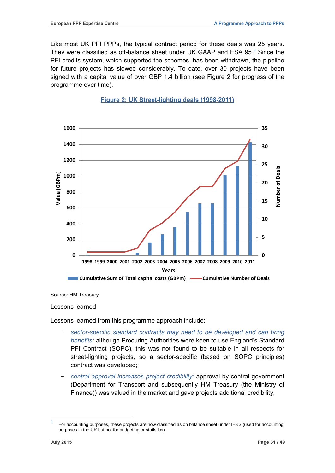Like most UK PFI PPPs, the typical contract period for these deals was 25 years. They were classified as off-balance sheet under UK GAAP and ESA [9](#page-31-0)5.<sup>9</sup> Since the PFI credits system, which supported the schemes, has been withdrawn, the pipeline for future projects has slowed considerably. To date, over 30 projects have been signed with a capital value of over GBP 1.4 billion (see Figure 2 for progress of the programme over time).





Source: HM Treasury

#### Lessons learned

Lessons learned from this programme approach include:

- − *sector-specific standard contracts may need to be developed and can bring benefits:* although Procuring Authorities were keen to use England's Standard PFI Contract (SOPC), this was not found to be suitable in all respects for street-lighting projects, so a sector-specific (based on SOPC principles) contract was developed;
- − *central approval increases project credibility:* approval by central government (Department for Transport and subsequently HM Treasury (the Ministry of Finance)) was valued in the market and gave projects additional credibility;

<span id="page-32-0"></span><sup>9</sup> For accounting purposes, these projects are now classified as on balance sheet under IFRS (used for accounting purposes in the UK but not for budgeting or statistics).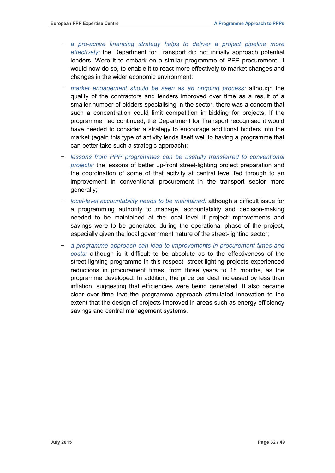- − *a pro-active financing strategy helps to deliver a project pipeline more effectively:* the Department for Transport did not initially approach potential lenders. Were it to embark on a similar programme of PPP procurement, it would now do so, to enable it to react more effectively to market changes and changes in the wider economic environment;
- market engagement should be seen as an ongoing process: although the quality of the contractors and lenders improved over time as a result of a smaller number of bidders specialising in the sector, there was a concern that such a concentration could limit competition in bidding for projects. If the programme had continued, the Department for Transport recognised it would have needed to consider a strategy to encourage additional bidders into the market (again this type of activity lends itself well to having a programme that can better take such a strategic approach);
- − *lessons from PPP programmes can be usefully transferred to conventional projects:* the lessons of better up-front street-lighting project preparation and the coordination of some of that activity at central level fed through to an improvement in conventional procurement in the transport sector more generally;
- − *local-level accountability needs to be maintained:* although a difficult issue for a programming authority to manage, accountability and decision-making needed to be maintained at the local level if project improvements and savings were to be generated during the operational phase of the project, especially given the local government nature of the street-lighting sector;
- − *a programme approach can lead to improvements in procurement times and costs:* although is it difficult to be absolute as to the effectiveness of the street-lighting programme in this respect, street-lighting projects experienced reductions in procurement times, from three years to 18 months, as the programme developed. In addition, the price per deal increased by less than inflation, suggesting that efficiencies were being generated. It also became clear over time that the programme approach stimulated innovation to the extent that the design of projects improved in areas such as energy efficiency savings and central management systems.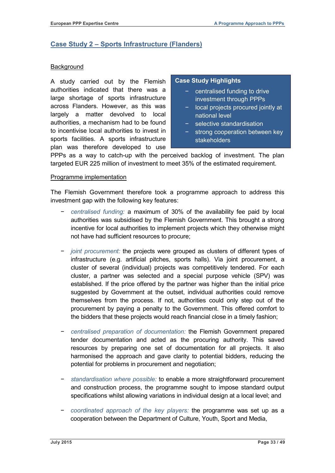# <span id="page-34-0"></span>**Case Study 2 – Sports Infrastructure (Flanders)**

#### **Background**

A study carried out by the Flemish authorities indicated that there was a large shortage of sports infrastructure across Flanders. However, as this was largely a matter devolved to local authorities, a mechanism had to be found to incentivise local authorities to invest in sports facilities. A sports infrastructure plan was therefore developed to use

#### **Case Study Highlights**

- − centralised funding to drive investment through PPPs
- − local projects procured jointly at national level
- − selective standardisation
- strong cooperation between key stakeholders

PPPs as a way to catch-up with the perceived backlog of investment. The plan targeted EUR 225 million of investment to meet 35% of the estimated requirement.

#### Programme implementation

The Flemish Government therefore took a programme approach to address this investment gap with the following key features:

- − *centralised funding:* a maximum of 30% of the availability fee paid by local authorities was subsidised by the Flemish Government. This brought a strong incentive for local authorities to implement projects which they otherwise might not have had sufficient resources to procure;
- − *joint procurement:* the projects were grouped as clusters of different types of infrastructure (e.g. artificial pitches, sports halls). Via joint procurement, a cluster of several (individual) projects was competitively tendered. For each cluster, a partner was selected and a special purpose vehicle (SPV) was established. If the price offered by the partner was higher than the initial price suggested by Government at the outset, individual authorities could remove themselves from the process. If not, authorities could only step out of the procurement by paying a penalty to the Government. This offered comfort to the bidders that these projects would reach financial close in a timely fashion;
- − *centralised preparation of documentation:* the Flemish Government prepared tender documentation and acted as the procuring authority. This saved resources by preparing one set of documentation for all projects. It also harmonised the approach and gave clarity to potential bidders, reducing the potential for problems in procurement and negotiation;
- − *standardisation where possible:* to enable a more straightforward procurement and construction process, the programme sought to impose standard output specifications whilst allowing variations in individual design at a local level; and
- − *coordinated approach of the key players:* the programme was set up as a cooperation between the Department of Culture, Youth, Sport and Media,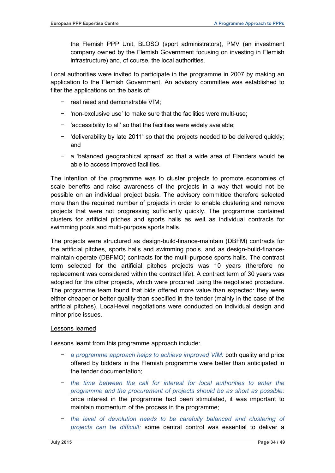the Flemish PPP Unit, BLOSO (sport administrators), PMV (an investment company owned by the Flemish Government focusing on investing in Flemish infrastructure) and, of course, the local authorities.

Local authorities were invited to participate in the programme in 2007 by making an application to the Flemish Government. An advisory committee was established to filter the applications on the basis of:

- − real need and demonstrable VfM;
- − 'non-exclusive use' to make sure that the facilities were multi-use;
- − 'accessibility to all' so that the facilities were widely available;
- − 'deliverability by late 2011' so that the projects needed to be delivered quickly; and
- − a 'balanced geographical spread' so that a wide area of Flanders would be able to access improved facilities.

The intention of the programme was to cluster projects to promote economies of scale benefits and raise awareness of the projects in a way that would not be possible on an individual project basis. The advisory committee therefore selected more than the required number of projects in order to enable clustering and remove projects that were not progressing sufficiently quickly. The programme contained clusters for artificial pitches and sports halls as well as individual contracts for swimming pools and multi-purpose sports halls.

The projects were structured as design-build-finance-maintain (DBFM) contracts for the artificial pitches, sports halls and swimming pools, and as design-build-financemaintain-operate (DBFMO) contracts for the multi-purpose sports halls. The contract term selected for the artificial pitches projects was 10 years (therefore no replacement was considered within the contract life). A contract term of 30 years was adopted for the other projects, which were procured using the negotiated procedure. The programme team found that bids offered more value than expected: they were either cheaper or better quality than specified in the tender (mainly in the case of the artificial pitches). Local-level negotiations were conducted on individual design and minor price issues.

#### Lessons learned

Lessons learnt from this programme approach include:

- − *a programme approach helps to achieve improved VfM:* both quality and price offered by bidders in the Flemish programme were better than anticipated in the tender documentation;
- − *the time between the call for interest for local authorities to enter the programme and the procurement of projects should be as short as possible:* once interest in the programme had been stimulated, it was important to maintain momentum of the process in the programme;
- − *the level of devolution needs to be carefully balanced and clustering of projects can be difficult:* some central control was essential to deliver a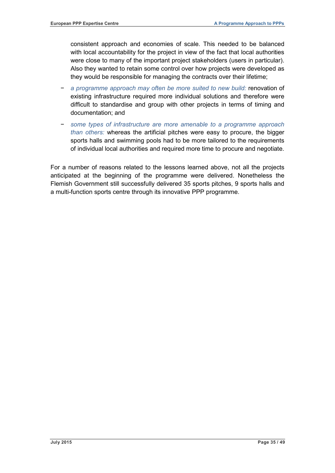consistent approach and economies of scale. This needed to be balanced with local accountability for the project in view of the fact that local authorities were close to many of the important project stakeholders (users in particular). Also they wanted to retain some control over how projects were developed as they would be responsible for managing the contracts over their lifetime;

- − *a programme approach may often be more suited to new build:* renovation of existing infrastructure required more individual solutions and therefore were difficult to standardise and group with other projects in terms of timing and documentation; and
- − *some types of infrastructure are more amenable to a programme approach than others:* whereas the artificial pitches were easy to procure, the bigger sports halls and swimming pools had to be more tailored to the requirements of individual local authorities and required more time to procure and negotiate.

For a number of reasons related to the lessons learned above, not all the projects anticipated at the beginning of the programme were delivered. Nonetheless the Flemish Government still successfully delivered 35 sports pitches, 9 sports halls and a multi-function sports centre through its innovative PPP programme.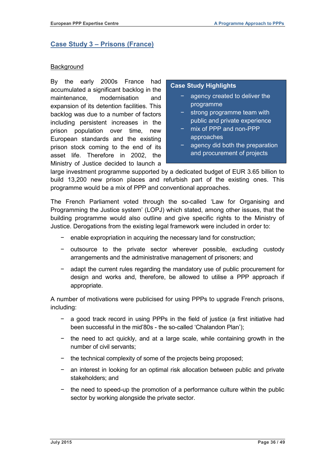# <span id="page-37-0"></span>**Case Study 3 – Prisons (France)**

#### **Background**

By the early 2000s France had accumulated a significant backlog in the maintenance, modernisation and expansion of its detention facilities. This backlog was due to a number of factors including persistent increases in the prison population over time, new European standards and the existing prison stock coming to the end of its asset life. Therefore in 2002, the Ministry of Justice decided to launch a

#### **Case Study Highlights**

- − agency created to deliver the programme
- − strong programme team with public and private experience
- − mix of PPP and non-PPP approaches
- − agency did both the preparation and procurement of projects

large investment programme supported by a dedicated budget of EUR 3.65 billion to build 13,200 new prison places and refurbish part of the existing ones. This programme would be a mix of PPP and conventional approaches.

The French Parliament voted through the so-called 'Law for Organising and Programming the Justice system' (LOPJ) which stated, among other issues, that the building programme would also outline and give specific rights to the Ministry of Justice. Derogations from the existing legal framework were included in order to:

- enable expropriation in acquiring the necessary land for construction;
- − outsource to the private sector wherever possible, excluding custody arrangements and the administrative management of prisoners; and
- − adapt the current rules regarding the mandatory use of public procurement for design and works and, therefore, be allowed to utilise a PPP approach if appropriate.

A number of motivations were publicised for using PPPs to upgrade French prisons, including:

- a good track record in using PPPs in the field of justice (a first initiative had been successful in the mid'80s - the so-called 'Chalandon Plan');
- − the need to act quickly, and at a large scale, while containing growth in the number of civil servants;
- − the technical complexity of some of the projects being proposed;
- − an interest in looking for an optimal risk allocation between public and private stakeholders; and
- − the need to speed-up the promotion of a performance culture within the public sector by working alongside the private sector.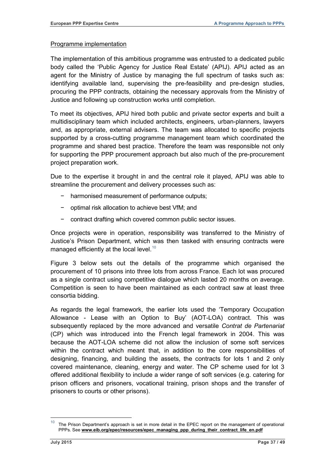#### Programme implementation

The implementation of this ambitious programme was entrusted to a dedicated public body called the 'Public Agency for Justice Real Estate' (APIJ). APIJ acted as an agent for the Ministry of Justice by managing the full spectrum of tasks such as: identifying available land, supervising the pre-feasibility and pre-design studies, procuring the PPP contracts, obtaining the necessary approvals from the Ministry of Justice and following up construction works until completion.

To meet its objectives, APIJ hired both public and private sector experts and built a multidisciplinary team which included architects, engineers, urban-planners, lawyers and, as appropriate, external advisers. The team was allocated to specific projects supported by a cross-cutting programme management team which coordinated the programme and shared best practice. Therefore the team was responsible not only for supporting the PPP procurement approach but also much of the pre-procurement project preparation work.

Due to the expertise it brought in and the central role it played, APIJ was able to streamline the procurement and delivery processes such as:

- − harmonised measurement of performance outputs;
- − optimal risk allocation to achieve best VfM; and
- − contract drafting which covered common public sector issues.

Once projects were in operation, responsibility was transferred to the Ministry of Justice's Prison Department, which was then tasked with ensuring contracts were managed efficiently at the local level.<sup>[10](#page-32-0)</sup>

Figure 3 below sets out the details of the programme which organised the procurement of 10 prisons into three lots from across France. Each lot was procured as a single contract using competitive dialogue which lasted 20 months on average. Competition is seen to have been maintained as each contract saw at least three consortia bidding.

As regards the legal framework, the earlier lots used the 'Temporary Occupation Allowance - Lease with an Option to Buy' (AOT-LOA) contract. This was subsequently replaced by the more advanced and versatile *Contrat de Partenariat* (CP) which was introduced into the French legal framework in 2004. This was because the AOT-LOA scheme did not allow the inclusion of some soft services within the contract which meant that, in addition to the core responsibilities of designing, financing, and building the assets, the contracts for lots 1 and 2 only covered maintenance, cleaning, energy and water. The CP scheme used for lot 3 offered additional flexibility to include a wider range of soft services (e.g. catering for prison officers and prisoners, vocational training, prison shops and the transfer of prisoners to courts or other prisons).

<span id="page-38-0"></span> $10$  The Prison Department's approach is set in more detail in the EPEC report on the management of operational PPPs. See [www.eib.org/epec/resources/epec\\_managing\\_ppp\\_during\\_their\\_contract\\_life\\_en.pdf](http://www.eib.org/epec/resources/epec_managing_ppp_during_their_contract_life_en.pdf)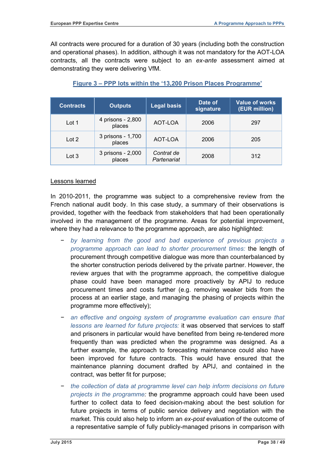All contracts were procured for a duration of 30 years (including both the construction and operational phases). In addition, although it was not mandatory for the AOT-LOA contracts, all the contracts were subject to an *ex-ante* assessment aimed at demonstrating they were delivering VfM.

| <b>Contracts</b> | Outputs                     | <b>Legal basis</b>        | Date of<br>signature | <b>Value of works</b><br>(EUR million) |
|------------------|-----------------------------|---------------------------|----------------------|----------------------------------------|
| Lot 1            | 4 prisons - 2,800<br>places | AOT-LOA                   | 2006                 | 297                                    |
| Lot 2            | 3 prisons - 1,700<br>places | AOT-LOA                   | 2006                 | 205                                    |
| Lot 3            | 3 prisons - 2,000<br>places | Contrat de<br>Partenariat | 2008                 | 312                                    |

# **Figure 3 – PPP lots within the '13,200 Prison Places Programme'**

#### Lessons learned

In 2010-2011, the programme was subject to a comprehensive review from the French national audit body. In this case study, a summary of their observations is provided, together with the feedback from stakeholders that had been operationally involved in the management of the programme. Areas for potential improvement, where they had a relevance to the programme approach, are also highlighted:

- − *by learning from the good and bad experience of previous projects a programme approach can lead to shorter procurement times:* the length of procurement through competitive dialogue was more than counterbalanced by the shorter construction periods delivered by the private partner. However, the review argues that with the programme approach, the competitive dialogue phase could have been managed more proactively by APIJ to reduce procurement times and costs further (e.g. removing weaker bids from the process at an earlier stage, and managing the phasing of projects within the programme more effectively);
- − *an effective and ongoing system of programme evaluation can ensure that lessons are learned for future projects:* it was observed that services to staff and prisoners in particular would have benefited from being re-tendered more frequently than was predicted when the programme was designed. As a further example, the approach to forecasting maintenance could also have been improved for future contracts. This would have ensured that the maintenance planning document drafted by APIJ, and contained in the contract, was better fit for purpose;
- − *the collection of data at programme level can help inform decisions on future projects in the programme:* the programme approach could have been used further to collect data to feed decision-making about the best solution for future projects in terms of public service delivery and negotiation with the market. This could also help to inform an *ex-post* evaluation of the outcome of a representative sample of fully publicly-managed prisons in comparison with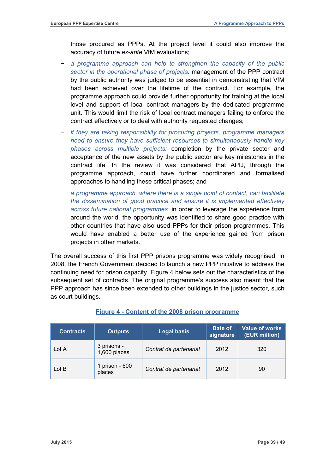those procured as PPPs. At the project level it could also improve the accuracy of future *ex-ante* VfM evaluations;

- − *a programme approach can help to strengthen the capacity of the public sector in the operational phase of projects:* management of the PPP contract by the public authority was judged to be essential in demonstrating that VfM had been achieved over the lifetime of the contract. For example, the programme approach could provide further opportunity for training at the local level and support of local contract managers by the dedicated programme unit. This would limit the risk of local contract managers failing to enforce the contract effectively or to deal with authority requested changes;
- − *if they are taking responsibility for procuring projects, programme managers need to ensure they have sufficient resources to simultaneously handle key phases across multiple projects:* completion by the private sector and acceptance of the new assets by the public sector are key milestones in the contract life. In the review it was considered that APIJ, through the programme approach, could have further coordinated and formalised approaches to handling these critical phases; and
- − *a programme approach, where there is a single point of contact, can facilitate the dissemination of good practice and ensure it is implemented effectively across future national programmes:* in order to leverage the experience from around the world, the opportunity was identified to share good practice with other countries that have also used PPPs for their prison programmes. This would have enabled a better use of the experience gained from prison projects in other markets.

The overall success of this first PPP prisons programme was widely recognised. In 2008, the French Government decided to launch a new PPP initiative to address the continuing need for prison capacity. Figure 4 below sets out the characteristics of the subsequent set of contracts. The original programme's success also meant that the PPP approach has since been extended to other buildings in the justice sector, such as court buildings.

| <b>Contracts</b> | Outputs                     | <b>Legal basis</b>     | Date of<br>signature | <b>Value of works</b><br>(EUR million) |
|------------------|-----------------------------|------------------------|----------------------|----------------------------------------|
| Lot A            | 3 prisons -<br>1,600 places | Contrat de partenariat | 2012                 | 320                                    |
| Lot B            | 1 prison - 600<br>places    | Contrat de partenariat | 2012                 | 90                                     |

#### **Figure 4 - Content of the 2008 prison programme**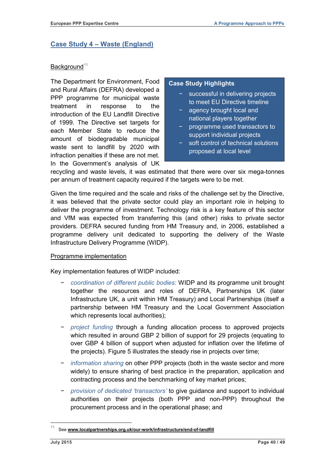# <span id="page-41-0"></span>**Case Study 4 – Waste (England)**

#### Background<sup>[11](#page-38-0)</sup>

The Department for Environment, Food and Rural Affairs (DEFRA) developed a PPP programme for municipal waste treatment in response to the introduction of the EU Landfill Directive of 1999. The Directive set targets for each Member State to reduce the amount of biodegradable municipal waste sent to landfill by 2020 with infraction penalties if these are not met. In the Government's analysis of UK

#### **Case Study Highlights**

- − successful in delivering projects to meet EU Directive timeline
- − agency brought local and national players together
- − programme used transactors to support individual projects
- − soft control of technical solutions proposed at local level

recycling and waste levels, it was estimated that there were over six mega-tonnes per annum of treatment capacity required if the targets were to be met.

Given the time required and the scale and risks of the challenge set by the Directive, it was believed that the private sector could play an important role in helping to deliver the programme of investment. Technology risk is a key feature of this sector and VfM was expected from transferring this (and other) risks to private sector providers. DEFRA secured funding from HM Treasury and, in 2006, established a programme delivery unit dedicated to supporting the delivery of the Waste Infrastructure Delivery Programme (WIDP).

#### Programme implementation

Key implementation features of WIDP included:

- − *coordination of different public bodies:* WIDP and its programme unit brought together the resources and roles of DEFRA, Partnerships UK (later [Infrastructure UK,](http://webarchive.nationalarchives.gov.uk/20130321224818/http:/www.hm-treasury.gov.uk/ppp_infrastructureuk.htm) a unit within HM Treasury[\)](http://webarchive.nationalarchives.gov.uk/20130321224818/http:/www.partnershipsuk.org.uk/) and [Local Partnerships](http://webarchive.nationalarchives.gov.uk/20130321224818/http:/www.localpartnerships.org.uk) (itself a partnership between HM Treasury and the Local Government Association which represents local authorities);
- − *project funding* through a funding allocation process to approved projects which resulted in around GBP 2 billion of support for 29 projects (equating to over GBP 4 billion of support when adjusted for inflation over the lifetime of the projects). Figure 5 illustrates the steady rise in projects over time;
- − *information sharing* on [other PPP projects \(both in the waste sector and more](http://webarchive.nationalarchives.gov.uk/20130321224818/http:/www.defra.gov.uk/environment/waste/local-authorities/widp/pfi-projects/)  [widely\) to ensure sharing of best practice in the preparation, application and](http://webarchive.nationalarchives.gov.uk/20130321224818/http:/www.defra.gov.uk/environment/waste/local-authorities/widp/pfi-projects/)  [contracting process](http://webarchive.nationalarchives.gov.uk/20130321224818/http:/www.defra.gov.uk/environment/waste/local-authorities/widp/pfi-projects/) and the benchmarking of key market prices;
- − *provision of dedicated 'transactors'* to give guidance and support to individual authorities on their projects (both PPP and non-PPP) throughout the procurement process and in the operational phase; and

<span id="page-41-1"></span>See [www.localpartnerships.org.uk/our-work/infrastructure/end-of-landfill](http://www.localpartnerships.org.uk/our-work/infrastructure/end-of-landfill)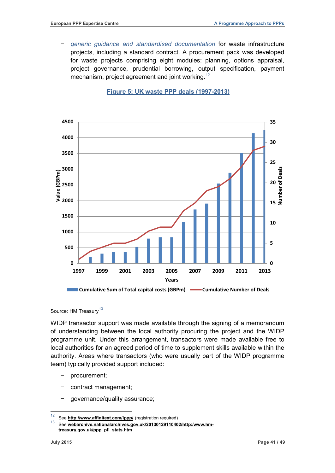− *[generic guidance](http://webarchive.nationalarchives.gov.uk/20130321224818/http:/www.defra.gov.uk/environment/waste/local-authorities/widp/widp-guidance/) and standardised documentation* for waste infrastructure projects, including a standard contract. A procurement pack was developed for waste projects comprising eight modules: planning, options appraisal, project governance, prudential borrowing, output specification, payment mechanism, project agreement and joint working.<sup>[12](#page-41-1)</sup>

#### **Figure 5: UK waste PPP deals (1997-2013)**



Source: HM Treasurv<sup>[13](#page-42-0)</sup>

WIDP transactor support was made available through the signing of a memorandum of understanding between the local authority procuring the project and the WIDP programme unit. Under this arrangement, transactors were made available free to local authorities for an agreed period of time to supplement skills available within the authority. Areas where transactors (who were usually part of the WIDP programme team) typically provided support included:

- − procurement;
- − contract management;
- − governance/quality assurance;

<span id="page-42-1"></span><span id="page-42-0"></span><sup>12</sup> See **<http://www.affinitext.com/lppp/>** (registration required)

See [webarchive.nationalarchives.gov.uk/20130129110402/http:/www.hm](http://webarchive.nationalarchives.gov.uk/20130129110402/http:/www.hm-treasury.gov.uk/ppp_pfi_stats.htm)**[treasury.gov.uk/ppp\\_pfi\\_stats.htm](http://webarchive.nationalarchives.gov.uk/20130129110402/http:/www.hm-treasury.gov.uk/ppp_pfi_stats.htm)**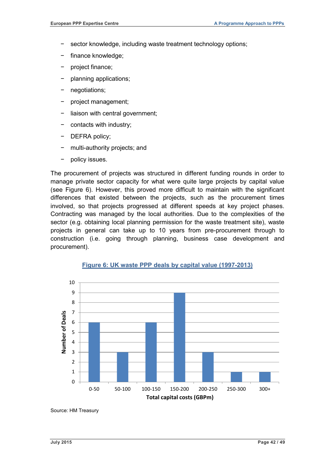- sector knowledge, including waste treatment technology options;
- finance knowledge;
- − project finance;
- − planning applications;
- − negotiations;
- − project management;
- liaison with central government;
- − contacts with industry;
- − DEFRA policy;
- − multi-authority projects; and
- policy issues.

The procurement of projects was structured in different funding rounds in order to manage private sector capacity for what were quite large projects by capital value (see Figure 6). However, this proved more difficult to maintain with the significant differences that existed between the projects, such as the procurement times involved, so that projects progressed at different speeds at key project phases. Contracting was managed by the local authorities. Due to the complexities of the sector (e.g. obtaining local planning permission for the waste treatment site), waste projects in general can take up to 10 years from pre-procurement through to construction (i.e. going through planning, business case development and procurement).



**Figure 6: UK waste PPP deals by capital value (1997-2013)**

Source: HM Treasury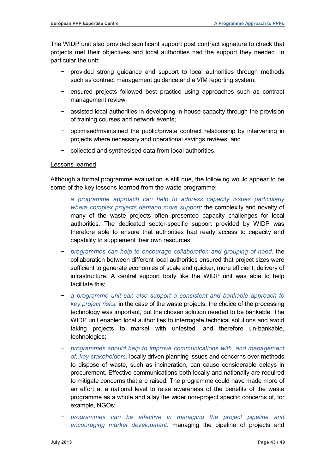The WIDP unit also provided significant support post contract signature to check that projects met their objectives and local authorities had the support they needed. In particular the unit:

- − provided strong guidance and support to local authorities through methods such as contract management guidance and a VfM reporting system;
- − ensured projects followed best practice using approaches such as contract management review;
- − assisted local authorities in developing in-house capacity through the provision of training courses and network events;
- − optimised/maintained the public/private contract relationship by intervening in projects where necessary and operational savings reviews; and
- − collected and synthesised data from local authorities.

#### Lessons learned

Although a formal programme evaluation is still due, the following would appear to be some of the key lessons learned from the waste programme:

- − *a programme approach can help to address capacity issues particularly where complex projects demand more support:* the complexity and novelty of many of the waste projects often presented capacity challenges for local authorities. The dedicated sector-specific support provided by WIDP was therefore able to ensure that authorities had ready access to capacity and capability to supplement their own resources;
- − *programmes can help to encourage collaboration and grouping of need:* the collaboration between different local authorities ensured that project sizes were sufficient to generate economies of scale and quicker, more efficient, delivery of infrastructure. A central support body like the WIDP unit was able to help facilitate this;
- − *a programme unit can also support a consistent and bankable approach to key project risks:* in the case of the waste projects, the choice of the processing technology was important, but the chosen solution needed to be bankable. The WIDP unit enabled local authorities to interrogate technical solutions and avoid taking projects to market with untested, and therefore un-bankable, technologies;
- − *programmes should help to improve communications with, and management of, key stakeholders:* locally driven planning issues and concerns over methods to dispose of waste, such as incineration, can cause considerable delays in procurement. Effective communications both locally and nationally are required to mitigate concerns that are raised. The programme could have made more of an effort at a national level to raise awareness of the benefits of the waste programme as a whole and allay the wider non-project specific concerns of, for example, NGOs;
- − *programmes can be effective in managing the project pipeline and encouraging market development:* managing the pipeline of projects and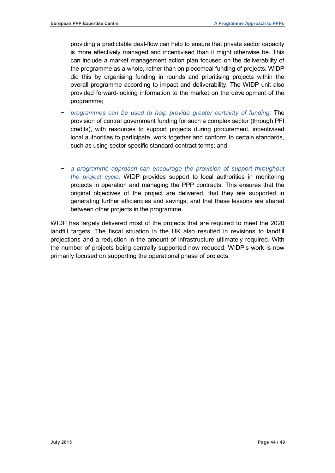providing a predictable deal-flow can help to ensure that private sector capacity is more effectively managed and incentivised than it might otherwise be. This can include a market management action plan focused on the deliverability of the programme as a whole, rather than on piecemeal funding of projects. WIDP did this by organising funding in rounds and prioritising projects within the overall programme according to impact and deliverability. The WIDP unit also provided forward-looking information to the market on the development of the programme;

- − *programmes can be used to help provide greater certainty of funding:* The provision of central government funding for such a complex sector (through PFI credits), with resources to support projects during procurement, incentivised local authorities to participate, work together and conform to certain standards, such as using sector-specific standard contract terms; and
- − *a programme approach can encourage the provision of support throughout the project cycle:* WIDP provides support to local authorities in monitoring projects in operation and managing the PPP contracts. This ensures that the original objectives of the project are delivered, that they are supported in generating further efficiencies and savings, and that these lessons are shared between other projects in the programme.

WIDP has largely delivered most of the projects that are required to meet the 2020 landfill targets. The fiscal situation in the UK also resulted in revisions to landfill projections and a reduction in the amount of infrastructure ultimately required. With the number of projects being centrally supported now reduced, WIDP's work is now primarily focused on supporting the operational phase of projects.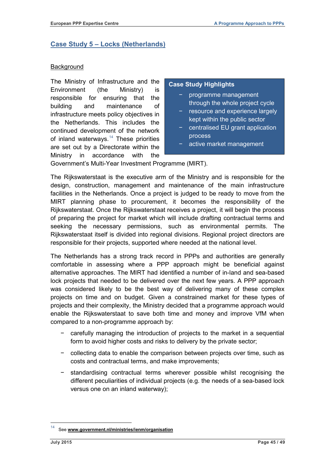# <span id="page-46-0"></span>**Case Study 5 – Locks (Netherlands)**

#### **Background**

The Ministry of Infrastructure and the Environment (the Ministry) is responsible for ensuring that the building and maintenance of infrastructure meets policy objectives in the Netherlands. This includes the continued development of the network of inland waterways.<sup>[14](#page-42-1)</sup> These priorities are set out by a Directorate within the Ministry in accordance with the

#### **Case Study Highlights**

- − programme management through the whole project cycle
- − resource and experience largely kept within the public sector
- − centralised EU grant application process
- active market management

Government's Multi-Year Investment Programme (MIRT).

The Rijkswaterstaat is the executive arm of the Ministry and is responsible for the design, construction, management and maintenance of the main infrastructure facilities in the Netherlands. Once a project is judged to be ready to move from the MIRT planning phase to procurement, it becomes the responsibility of the Rijkswaterstaat. Once the Rijkswaterstaat receives a project, it will begin the process of preparing the project for market which will include drafting contractual terms and seeking the necessary permissions, such as environmental permits. The Rijkswaterstaat itself is divided into regional divisions. Regional project directors are responsible for their projects, supported where needed at the national level.

The Netherlands has a strong track record in PPPs and authorities are generally comfortable in assessing where a PPP approach might be beneficial against alternative approaches. The MIRT had identified a number of in-land and sea-based lock projects that needed to be delivered over the next few years. A PPP approach was considered likely to be the best way of delivering many of these complex projects on time and on budget. Given a constrained market for these types of projects and their complexity, the Ministry decided that a programme approach would enable the Rijkswaterstaat to save both time and money and improve VfM when compared to a non-programme approach by:

- − carefully managing the introduction of projects to the market in a sequential form to avoid higher costs and risks to delivery by the private sector;
- − collecting data to enable the comparison between projects over time, such as costs and contractual terms, and make improvements;
- − standardising contractual terms wherever possible whilst recognising the different peculiarities of individual projects (e.g. the needs of a sea-based lock versus one on an inland waterway);

<span id="page-46-1"></span>See [www.government.nl/ministries/ienm/organisation](http://www.government.nl/ministries/ienm/organisation)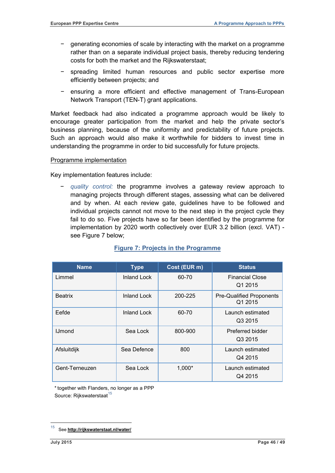- − generating economies of scale by interacting with the market on a programme rather than on a separate individual project basis, thereby reducing tendering costs for both the market and the Rijkswaterstaat;
- − spreading limited human resources and public sector expertise more efficiently between projects; and
- − ensuring a more efficient and effective management of Trans-European Network Transport (TEN-T) grant applications.

Market feedback had also indicated a programme approach would be likely to encourage greater participation from the market and help the private sector's business planning, because of the uniformity and predictability of future projects. Such an approach would also make it worthwhile for bidders to invest time in understanding the programme in order to bid successfully for future projects.

#### Programme implementation

Key implementation features include:

− *quality control:* the programme involves a gateway review approach to managing projects through different stages, assessing what can be delivered and by when. At each review gate, guidelines have to be followed and individual projects cannot not move to the next step in the project cycle they fail to do so. Five projects have so far been identified by the programme for implementation by 2020 worth collectively over EUR 3.2 billion (excl. VAT) see Figure 7 below;

| <b>Name</b>    | <b>Type</b>        | Cost (EUR m) | <b>Status</b>                              |
|----------------|--------------------|--------------|--------------------------------------------|
| Limmel         | Inland Lock        | 60-70        | <b>Financial Close</b><br>Q1 2015          |
| <b>Beatrix</b> | <b>Inland Lock</b> | 200-225      | <b>Pre-Qualified Proponents</b><br>Q1 2015 |
| Eefde          | <b>Inland Lock</b> | 60-70        | Launch estimated<br>Q3 2015                |
| <b>IJmond</b>  | Sea Lock           | 800-900      | Preferred bidder<br>Q3 2015                |
| Afsluitdijk    | Sea Defence        | 800          | Launch estimated<br>Q4 2015                |
| Gent-Terneuzen | Sea Lock           | 1,000*       | Launch estimated<br>Q4 2015                |

#### **Figure 7: Projects in the Programme**

\*together with Flanders, no longer as a PPP Source: Rijkswaterstaat<sup>[15](#page-46-1)</sup>

<sup>15</sup> See **<http://rijkswaterstaat.nl/water/>**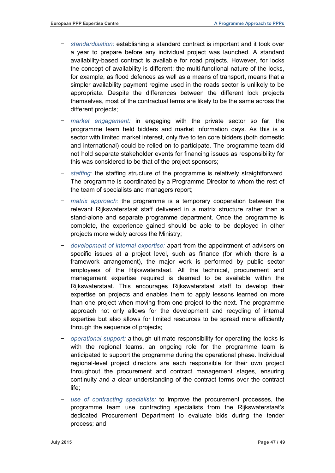- − *standardisation:* establishing a standard contract is important and it took over a year to prepare before any individual project was launched. A standard availability-based contract is available for road projects. However, for locks the concept of availability is different: the multi-functional nature of the locks, for example, as flood defences as well as a means of transport, means that a simpler availability payment regime used in the roads sector is unlikely to be appropriate. Despite the differences between the different lock projects themselves, most of the contractual terms are likely to be the same across the different projects;
- market engagement: in engaging with the private sector so far, the programme team held bidders and market information days. As this is a sector with limited market interest, only five to ten core bidders (both domestic and international) could be relied on to participate. The programme team did not hold separate stakeholder events for financing issues as responsibility for this was considered to be that of the project sponsors;
- − *staffing:* the staffing structure of the programme is relatively straightforward. The programme is coordinated by a Programme Director to whom the rest of the team of specialists and managers report;
- *matrix approach:* the programme is a temporary cooperation between the relevant Rijkswaterstaat staff delivered in a matrix structure rather than a stand-alone and separate programme department. Once the programme is complete, the experience gained should be able to be deployed in other projects more widely across the Ministry;
- − *development of internal expertise:* apart from the appointment of advisers on specific issues at a project level, such as finance (for which there is a framework arrangement), the major work is performed by public sector employees of the Rijkswaterstaat. All the technical, procurement and management expertise required is deemed to be available within the Rijkswaterstaat. This encourages Rijkswaterstaat staff to develop their expertise on projects and enables them to apply lessons learned on more than one project when moving from one project to the next. The programme approach not only allows for the development and recycling of internal expertise but also allows for limited resources to be spread more efficiently through the sequence of projects;
- − *operational support:* although ultimate responsibility for operating the locks is with the regional teams, an ongoing role for the programme team is anticipated to support the programme during the operational phase. Individual regional-level project directors are each responsible for their own project throughout the procurement and contract management stages, ensuring continuity and a clear understanding of the contract terms over the contract life;
- − *use of contracting specialists:* to improve the procurement processes, the programme team use contracting specialists from the Rijkswaterstaat's dedicated Procurement Department to evaluate bids during the tender process; and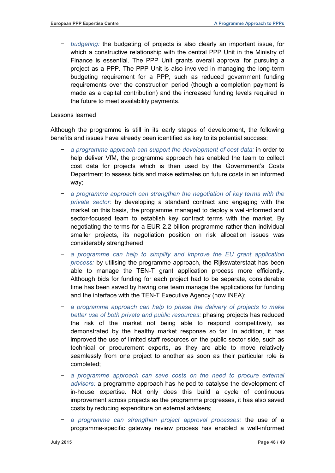*budgeting:* the budgeting of projects is also clearly an important issue, for which a constructive relationship with the central PPP Unit in the Ministry of Finance is essential. The PPP Unit grants overall approval for pursuing a project as a PPP. The PPP Unit is also involved in managing the long-term budgeting requirement for a PPP, such as reduced government funding requirements over the construction period (though a completion payment is made as a capital contribution) and the increased funding levels required in the future to meet availability payments.

#### Lessons learned

Although the programme is still in its early stages of development, the following benefits and issues have already been identified as key to its potential success:

- − *a programme approach can support the development of cost data:* in order to help deliver VfM, the programme approach has enabled the team to collect cost data for projects which is then used by the Government's Costs Department to assess bids and make estimates on future costs in an informed way;
- − *a programme approach can strengthen the negotiation of key terms with the private sector:* by developing a standard contract and engaging with the market on this basis, the programme managed to deploy a well-informed and sector-focused team to establish key contract terms with the market. By negotiating the terms for a EUR 2.2 billion programme rather than individual smaller projects, its negotiation position on risk allocation issues was considerably strengthened;
- − *a programme can help to simplify and improve the EU grant application process:* by utilising the programme approach, the Rijkswaterstaat has been able to manage the TEN-T grant application process more efficiently. Although bids for funding for each project had to be separate, considerable time has been saved by having one team manage the applications for funding and the interface with the TEN-T Executive Agency (now INEA);
- − *a programme approach can help to phase the delivery of projects to make better use of both private and public resources:* phasing projects has reduced the risk of the market not being able to respond competitively, as demonstrated by the healthy market response so far. In addition, it has improved the use of limited staff resources on the public sector side, such as technical or procurement experts, as they are able to move relatively seamlessly from one project to another as soon as their particular role is completed;
- a programme approach can save costs on the need to procure external *advisers:* a programme approach has helped to catalyse the development of in-house expertise. Not only does this build a cycle of continuous improvement across projects as the programme progresses, it has also saved costs by reducing expenditure on external advisers;
- − *a programme can strengthen project approval processes:* the use of a programme-specific gateway review process has enabled a well-informed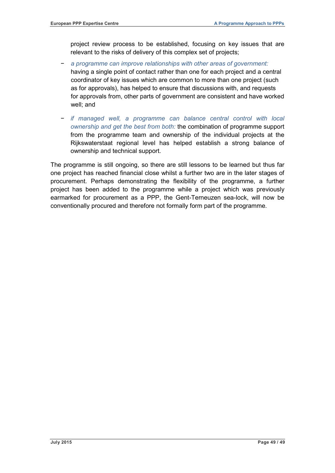project review process to be established, focusing on key issues that are relevant to the risks of delivery of this complex set of projects;

- − *a programme can improve relationships with other areas of government:*  having a single point of contact rather than one for each project and a central coordinator of key issues which are common to more than one project (such as for approvals), has helped to ensure that discussions with, and requests for approvals from, other parts of government are consistent and have worked well; and
- − *if managed well, a programme can balance central control with local ownership and get the best from both:* the combination of programme support from the programme team and ownership of the individual projects at the Rijkswaterstaat regional level has helped establish a strong balance of ownership and technical support.

The programme is still ongoing, so there are still lessons to be learned but thus far one project has reached financial close whilst a further two are in the later stages of procurement. Perhaps demonstrating the flexibility of the programme, a further project has been added to the programme while a project which was previously earmarked for procurement as a PPP, the Gent-Terneuzen sea-lock, will now be conventionally procured and therefore not formally form part of the programme.